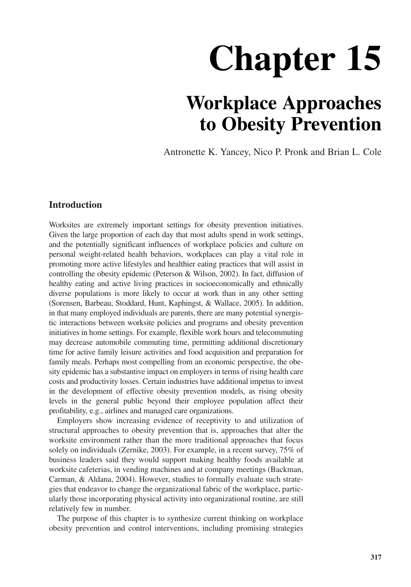# **Chapter 15**

# **Workplace Approaches to Obesity Prevention**

Antronette K. Yancey, Nico P. Pronk and Brian L. Cole

# **Introduction**

Worksites are extremely important settings for obesity prevention initiatives. Given the large proportion of each day that most adults spend in work settings, and the potentially significant influences of workplace policies and culture on personal weight-related health behaviors, workplaces can play a vital role in promoting more active lifestyles and healthier eating practices that will assist in controlling the obesity epidemic (Peterson & Wilson, 2002). In fact, diffusion of healthy eating and active living practices in socioeconomically and ethnically diverse populations is more likely to occur at work than in any other setting (Sorensen, Barbeau, Stoddard, Hunt, Kaphingst, & Wallace, 2005). In addition, in that many employed individuals are parents, there are many potential synergistic interactions between worksite policies and programs and obesity prevention initiatives in home settings. For example, flexible work hours and telecommuting may decrease automobile commuting time, permitting additional discretionary time for active family leisure activities and food acquisition and preparation for family meals. Perhaps most compelling from an economic perspective, the obesity epidemic has a substantive impact on employers in terms of rising health care costs and productivity losses. Certain industries have additional impetus to invest in the development of effective obesity prevention models, as rising obesity levels in the general public beyond their employee population affect their profitability, e.g., airlines and managed care organizations.

Employers show increasing evidence of receptivity to and utilization of structural approaches to obesity prevention that is, approaches that alter the worksite environment rather than the more traditional approaches that focus solely on individuals (Zernike, 2003). For example, in a recent survey, 75% of business leaders said they would support making healthy foods available at worksite cafeterias, in vending machines and at company meetings (Backman, Carman, & Aldana, 2004). However, studies to formally evaluate such strategies that endeavor to change the organizational fabric of the workplace, particularly those incorporating physical activity into organizational routine, are still relatively few in number.

The purpose of this chapter is to synthesize current thinking on workplace obesity prevention and control interventions, including promising strategies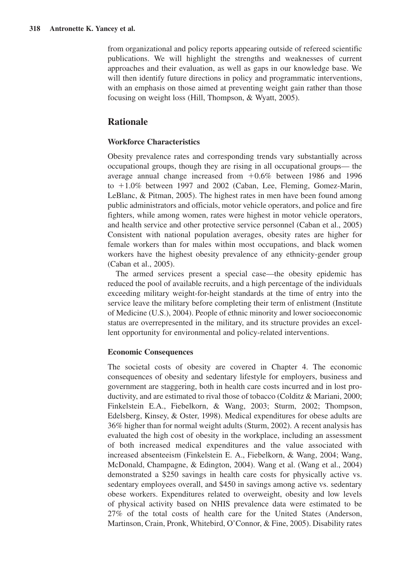from organizational and policy reports appearing outside of refereed scientific publications. We will highlight the strengths and weaknesses of current approaches and their evaluation, as well as gaps in our knowledge base. We will then identify future directions in policy and programmatic interventions, with an emphasis on those aimed at preventing weight gain rather than those focusing on weight loss (Hill, Thompson, & Wyatt, 2005).

# **Rationale**

# **Workforce Characteristics**

Obesity prevalence rates and corresponding trends vary substantially across occupational groups, though they are rising in all occupational groups— the average annual change increased from -0.6% between 1986 and 1996 to  $+1.0\%$  between 1997 and 2002 (Caban, Lee, Fleming, Gomez-Marin, LeBlanc, & Pitman, 2005). The highest rates in men have been found among public administrators and officials, motor vehicle operators, and police and fire fighters, while among women, rates were highest in motor vehicle operators, and health service and other protective service personnel (Caban et al., 2005) Consistent with national population averages, obesity rates are higher for female workers than for males within most occupations, and black women workers have the highest obesity prevalence of any ethnicity-gender group (Caban et al., 2005).

The armed services present a special case—the obesity epidemic has reduced the pool of available recruits, and a high percentage of the individuals exceeding military weight-for-height standards at the time of entry into the service leave the military before completing their term of enlistment (Institute of Medicine (U.S.), 2004). People of ethnic minority and lower socioeconomic status are overrepresented in the military, and its structure provides an excellent opportunity for environmental and policy-related interventions.

# **Economic Consequences**

The societal costs of obesity are covered in Chapter 4. The economic consequences of obesity and sedentary lifestyle for employers, business and government are staggering, both in health care costs incurred and in lost productivity, and are estimated to rival those of tobacco (Colditz & Mariani, 2000; Finkelstein E.A., Fiebelkorn, & Wang, 2003; Sturm, 2002; Thompson, Edelsberg, Kinsey, & Oster, 1998). Medical expenditures for obese adults are 36% higher than for normal weight adults (Sturm, 2002). A recent analysis has evaluated the high cost of obesity in the workplace, including an assessment of both increased medical expenditures and the value associated with increased absenteeism (Finkelstein E. A., Fiebelkorn, & Wang, 2004; Wang, McDonald, Champagne, & Edington, 2004). Wang et al. (Wang et al., 2004) demonstrated a \$250 savings in health care costs for physically active vs. sedentary employees overall, and \$450 in savings among active vs. sedentary obese workers. Expenditures related to overweight, obesity and low levels of physical activity based on NHIS prevalence data were estimated to be 27% of the total costs of health care for the United States (Anderson, Martinson, Crain, Pronk, Whitebird, O'Connor, & Fine, 2005). Disability rates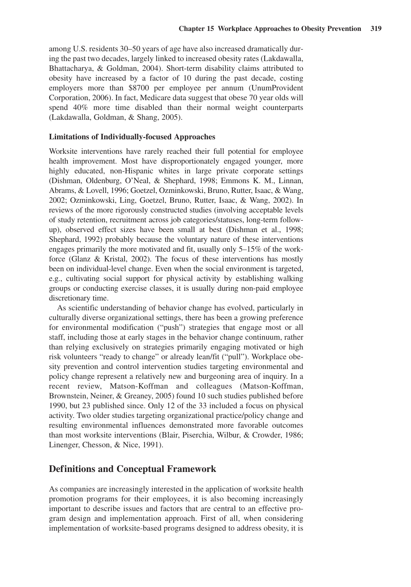among U.S. residents 30–50 years of age have also increased dramatically during the past two decades, largely linked to increased obesity rates (Lakdawalla, Bhattacharya, & Goldman, 2004). Short-term disability claims attributed to obesity have increased by a factor of 10 during the past decade, costing employers more than \$8700 per employee per annum (UnumProvident Corporation, 2006). In fact, Medicare data suggest that obese 70 year olds will spend 40% more time disabled than their normal weight counterparts (Lakdawalla, Goldman, & Shang, 2005).

#### **Limitations of Individually-focused Approaches**

Worksite interventions have rarely reached their full potential for employee health improvement. Most have disproportionately engaged younger, more highly educated, non-Hispanic whites in large private corporate settings (Dishman, Oldenburg, O'Neal, & Shephard, 1998; Emmons K. M., Linnan, Abrams, & Lovell, 1996; Goetzel, Ozminkowski, Bruno, Rutter, Isaac, & Wang, 2002; Ozminkowski, Ling, Goetzel, Bruno, Rutter, Isaac, & Wang, 2002). In reviews of the more rigorously constructed studies (involving acceptable levels of study retention, recruitment across job categories/statuses, long-term followup), observed effect sizes have been small at best (Dishman et al., 1998; Shephard, 1992) probably because the voluntary nature of these interventions engages primarily the more motivated and fit, usually only 5–15% of the workforce (Glanz & Kristal, 2002). The focus of these interventions has mostly been on individual-level change. Even when the social environment is targeted, e.g., cultivating social support for physical activity by establishing walking groups or conducting exercise classes, it is usually during non-paid employee discretionary time.

As scientific understanding of behavior change has evolved, particularly in culturally diverse organizational settings, there has been a growing preference for environmental modification ("push") strategies that engage most or all staff, including those at early stages in the behavior change continuum, rather than relying exclusively on strategies primarily engaging motivated or high risk volunteers "ready to change" or already lean/fit ("pull"). Workplace obesity prevention and control intervention studies targeting environmental and policy change represent a relatively new and burgeoning area of inquiry. In a recent review, Matson-Koffman and colleagues (Matson-Koffman, Brownstein, Neiner, & Greaney, 2005) found 10 such studies published before 1990, but 23 published since. Only 12 of the 33 included a focus on physical activity. Two older studies targeting organizational practice/policy change and resulting environmental influences demonstrated more favorable outcomes than most worksite interventions (Blair, Piserchia, Wilbur, & Crowder, 1986; Linenger, Chesson, & Nice, 1991).

# **Definitions and Conceptual Framework**

As companies are increasingly interested in the application of worksite health promotion programs for their employees, it is also becoming increasingly important to describe issues and factors that are central to an effective program design and implementation approach. First of all, when considering implementation of worksite-based programs designed to address obesity, it is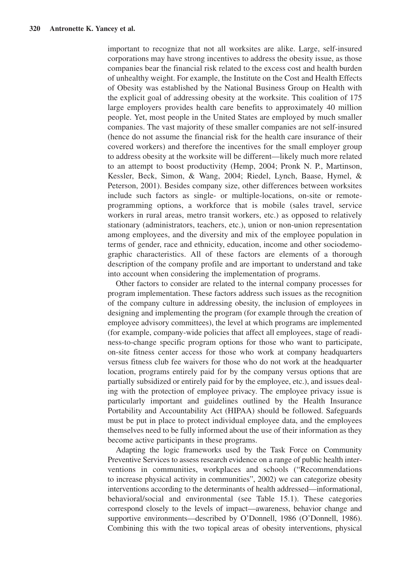important to recognize that not all worksites are alike. Large, self-insured corporations may have strong incentives to address the obesity issue, as those companies bear the financial risk related to the excess cost and health burden of unhealthy weight. For example, the Institute on the Cost and Health Effects of Obesity was established by the National Business Group on Health with the explicit goal of addressing obesity at the worksite. This coalition of 175 large employers provides health care benefits to approximately 40 million people. Yet, most people in the United States are employed by much smaller companies. The vast majority of these smaller companies are not self-insured (hence do not assume the financial risk for the health care insurance of their covered workers) and therefore the incentives for the small employer group to address obesity at the worksite will be different—likely much more related to an attempt to boost productivity (Hemp, 2004; Pronk N. P., Martinson, Kessler, Beck, Simon, & Wang, 2004; Riedel, Lynch, Baase, Hymel, & Peterson, 2001). Besides company size, other differences between worksites include such factors as single- or multiple-locations, on-site or remoteprogramming options, a workforce that is mobile (sales travel, service workers in rural areas, metro transit workers, etc.) as opposed to relatively stationary (administrators, teachers, etc.), union or non-union representation among employees, and the diversity and mix of the employee population in terms of gender, race and ethnicity, education, income and other sociodemographic characteristics. All of these factors are elements of a thorough description of the company profile and are important to understand and take into account when considering the implementation of programs.

Other factors to consider are related to the internal company processes for program implementation. These factors address such issues as the recognition of the company culture in addressing obesity, the inclusion of employees in designing and implementing the program (for example through the creation of employee advisory committees), the level at which programs are implemented (for example, company-wide policies that affect all employees, stage of readiness-to-change specific program options for those who want to participate, on-site fitness center access for those who work at company headquarters versus fitness club fee waivers for those who do not work at the headquarter location, programs entirely paid for by the company versus options that are partially subsidized or entirely paid for by the employee, etc.), and issues dealing with the protection of employee privacy. The employee privacy issue is particularly important and guidelines outlined by the Health Insurance Portability and Accountability Act (HIPAA) should be followed. Safeguards must be put in place to protect individual employee data, and the employees themselves need to be fully informed about the use of their information as they become active participants in these programs.

Adapting the logic frameworks used by the Task Force on Community Preventive Services to assess research evidence on a range of public health interventions in communities, workplaces and schools ("Recommendations to increase physical activity in communities", 2002) we can categorize obesity interventions according to the determinants of health addressed—informational, behavioral/social and environmental (see Table 15.1). These categories correspond closely to the levels of impact—awareness, behavior change and supportive environments—described by O'Donnell, 1986 (O'Donnell, 1986). Combining this with the two topical areas of obesity interventions, physical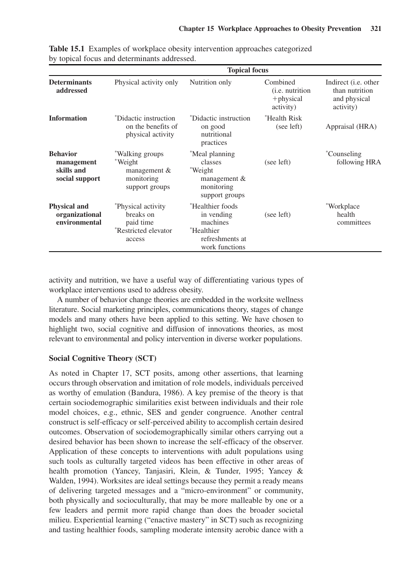| <b>Determinants</b><br>addressed                              | <b>Topical focus</b>                                                           |                                                                                               |                                                                  |                                                                             |
|---------------------------------------------------------------|--------------------------------------------------------------------------------|-----------------------------------------------------------------------------------------------|------------------------------------------------------------------|-----------------------------------------------------------------------------|
|                                                               | Physical activity only                                                         | Nutrition only                                                                                | Combined<br>( <i>i.e.</i> nutrition<br>$+$ physical<br>activity) | Indirect ( <i>i.e.</i> other<br>than nutrition<br>and physical<br>activity) |
| <b>Information</b>                                            | *Didactic instruction<br>on the benefits of<br>physical activity               | *Didactic instruction<br>on good<br>nutritional<br>practices                                  | *Health Risk<br>(see left)                                       | Appraisal (HRA)                                                             |
| <b>Behavior</b><br>management<br>skills and<br>social support | "Walking groups<br>*Weight<br>management $\&$<br>monitoring<br>support groups  | Keal planning<br>classes<br>*Weight<br>management $\&$<br>monitoring<br>support groups        | (see left)                                                       | <i>*Counseling</i><br>following HRA                                         |
| <b>Physical and</b><br>organizational<br>environmental        | *Physical activity<br>breaks on<br>paid time<br>*Restricted elevator<br>access | *Healthier foods<br>in vending<br>machines<br>*Healthier<br>refreshments at<br>work functions | (see left)                                                       | *Workplace<br>health<br>committees                                          |

**Table 15.1** Examples of workplace obesity intervention approaches categorized by topical focus and determinants addressed.

activity and nutrition, we have a useful way of differentiating various types of workplace interventions used to address obesity.

A number of behavior change theories are embedded in the worksite wellness literature. Social marketing principles, communications theory, stages of change models and many others have been applied to this setting. We have chosen to highlight two, social cognitive and diffusion of innovations theories, as most relevant to environmental and policy intervention in diverse worker populations.

# **Social Cognitive Theory (SCT)**

As noted in Chapter 17, SCT posits, among other assertions, that learning occurs through observation and imitation of role models, individuals perceived as worthy of emulation (Bandura, 1986). A key premise of the theory is that certain sociodemographic similarities exist between individuals and their role model choices, e.g., ethnic, SES and gender congruence. Another central construct is self-efficacy or self-perceived ability to accomplish certain desired outcomes. Observation of sociodemographically similar others carrying out a desired behavior has been shown to increase the self-efficacy of the observer. Application of these concepts to interventions with adult populations using such tools as culturally targeted videos has been effective in other areas of health promotion (Yancey, Tanjasiri, Klein, & Tunder, 1995; Yancey & Walden, 1994). Worksites are ideal settings because they permit a ready means of delivering targeted messages and a "micro-environment" or community, both physically and socioculturally, that may be more malleable by one or a few leaders and permit more rapid change than does the broader societal milieu. Experiential learning ("enactive mastery" in SCT) such as recognizing and tasting healthier foods, sampling moderate intensity aerobic dance with a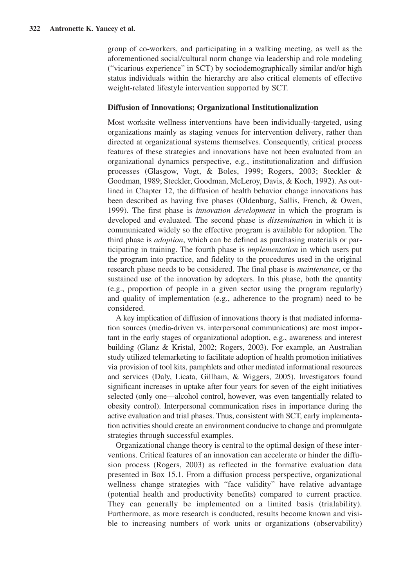group of co-workers, and participating in a walking meeting, as well as the aforementioned social/cultural norm change via leadership and role modeling ("vicarious experience" in SCT) by sociodemographically similar and/or high status individuals within the hierarchy are also critical elements of effective weight-related lifestyle intervention supported by SCT.

#### **Diffusion of Innovations; Organizational Institutionalization**

Most worksite wellness interventions have been individually-targeted, using organizations mainly as staging venues for intervention delivery, rather than directed at organizational systems themselves. Consequently, critical process features of these strategies and innovations have not been evaluated from an organizational dynamics perspective, e.g., institutionalization and diffusion processes (Glasgow, Vogt, & Boles, 1999; Rogers, 2003; Steckler & Goodman, 1989; Steckler, Goodman, McLeroy, Davis, & Koch, 1992). As outlined in Chapter 12, the diffusion of health behavior change innovations has been described as having five phases (Oldenburg, Sallis, French, & Owen, 1999). The first phase is *innovation development* in which the program is developed and evaluated. The second phase is *dissemination* in which it is communicated widely so the effective program is available for adoption. The third phase is *adoption*, which can be defined as purchasing materials or participating in training. The fourth phase is *implementation* in which users put the program into practice, and fidelity to the procedures used in the original research phase needs to be considered. The final phase is *maintenance*, or the sustained use of the innovation by adopters. In this phase, both the quantity (e.g., proportion of people in a given sector using the program regularly) and quality of implementation (e.g., adherence to the program) need to be considered.

A key implication of diffusion of innovations theory is that mediated information sources (media-driven vs. interpersonal communications) are most important in the early stages of organizational adoption, e.g., awareness and interest building (Glanz & Kristal, 2002; Rogers, 2003). For example, an Australian study utilized telemarketing to facilitate adoption of health promotion initiatives via provision of tool kits, pamphlets and other mediated informational resources and services (Daly, Licata, Gillham, & Wiggers, 2005). Investigators found significant increases in uptake after four years for seven of the eight initiatives selected (only one—alcohol control, however, was even tangentially related to obesity control). Interpersonal communication rises in importance during the active evaluation and trial phases. Thus, consistent with SCT, early implementation activities should create an environment conducive to change and promulgate strategies through successful examples.

Organizational change theory is central to the optimal design of these interventions. Critical features of an innovation can accelerate or hinder the diffusion process (Rogers, 2003) as reflected in the formative evaluation data presented in Box 15.1. From a diffusion process perspective, organizational wellness change strategies with "face validity" have relative advantage (potential health and productivity benefits) compared to current practice. They can generally be implemented on a limited basis (trialability). Furthermore, as more research is conducted, results become known and visible to increasing numbers of work units or organizations (observability)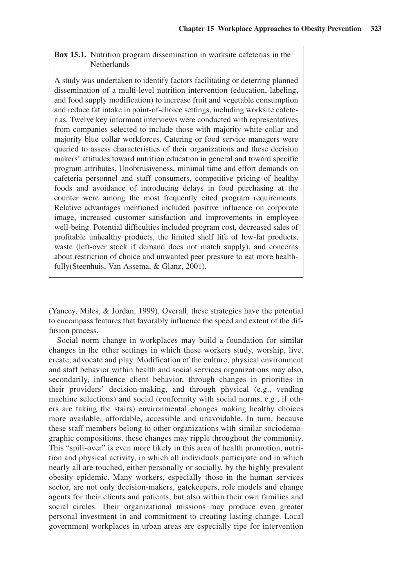# **Box 15.1.** Nutrition program dissemination in worksite cafeterias in the Netherlands

A study was undertaken to identify factors facilitating or deterring planned dissemination of a multi-level nutrition intervention (education, labeling, and food supply modification) to increase fruit and vegetable consumption and reduce fat intake in point-of-choice settings, including worksite cafeterias. Twelve key informant interviews were conducted with representatives from companies selected to include those with majority white collar and majority blue collar workforces. Catering or food service managers were queried to assess characteristics of their organizations and these decision makers' attitudes toward nutrition education in general and toward specific program attributes. Unobtrusiveness, minimal time and effort demands on cafeteria personnel and staff consumers, competitive pricing of healthy foods and avoidance of introducing delays in food purchasing at the counter were among the most frequently cited program requirements. Relative advantages mentioned included positive influence on corporate image, increased customer satisfaction and improvements in employee well-being. Potential difficulties included program cost, decreased sales of profitable unhealthy products, the limited shelf life of low-fat products, waste (left-over stock if demand does not match supply), and concerns about restriction of choice and unwanted peer pressure to eat more healthfully(Steenhuis, Van Assema, & Glanz, 2001).

(Yancey, Miles, & Jordan, 1999). Overall, these strategies have the potential to encompass features that favorably influence the speed and extent of the diffusion process.

Social norm change in workplaces may build a foundation for similar changes in the other settings in which these workers study, worship, live, create, advocate and play. Modification of the culture, physical environment and staff behavior within health and social services organizations may also, secondarily, influence client behavior, through changes in priorities in their providers' decision-making, and through physical (e.g., vending machine selections) and social (conformity with social norms, e.g., if others are taking the stairs) environmental changes making healthy choices more available, affordable, accessible and unavoidable. In turn, because these staff members belong to other organizations with similar sociodemographic compositions, these changes may ripple throughout the community. This "spill-over" is even more likely in this area of health promotion, nutrition and physical activity, in which all individuals participate and in which nearly all are touched, either personally or socially, by the highly prevalent obesity epidemic. Many workers, especially those in the human services sector, are not only decision-makers, gatekeepers, role models and change agents for their clients and patients, but also within their own families and social circles. Their organizational missions may produce even greater personal investment in and commitment to creating lasting change. Local government workplaces in urban areas are especially ripe for intervention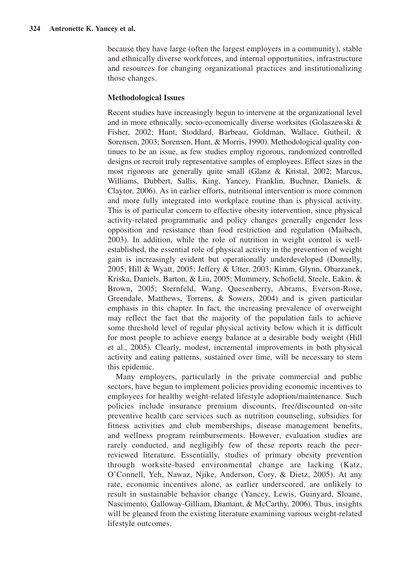because they have large (often the largest employers in a community), stable and ethnically diverse workforces, and internal opportunities, infrastructure and resources for changing organizational practices and institutionalizing those changes.

# **Methodological Issues**

Recent studies have increasingly begun to intervene at the organizational level and in more ethnically, socio-economically diverse worksites (Golaszewski & Fisher, 2002; Hunt, Stoddard, Barbeau, Goldman, Wallace, Gutheil, & Sorensen, 2003; Sorensen, Hunt, & Morris, 1990). Methodological quality continues to be an issue, as few studies employ rigorous, randomized controlled designs or recruit truly representative samples of employees. Effect sizes in the most rigorous are generally quite small (Glanz & Kristal, 2002; Marcus, Williams, Dubbert, Sallis, King, Yancey, Franklin, Buchner, Daniels, & Claytor, 2006). As in earlier efforts, nutritional intervention is more common and more fully integrated into workplace routine than is physical activity. This is of particular concern to effective obesity intervention, since physical activity-related programmatic and policy changes generally engender less opposition and resistance than food restriction and regulation (Maibach, 2003). In addition, while the role of nutrition in weight control is wellestablished, the essential role of physical activity in the prevention of weight gain is increasingly evident but operationally underdeveloped (Donnelly, 2005; Hill & Wyatt, 2005; Jeffery & Utter, 2003; Kimm, Glynn, Obarzanek, Kriska, Daniels, Barton, & Liu, 2005; Mummery, Schofield, Steele, Eakin, & Brown, 2005; Sternfeld, Wang, Quesenberry, Abrams, Everson-Rose, Greendale, Matthews, Torrens, & Sowers, 2004) and is given particular emphasis in this chapter. In fact, the increasing prevalence of overweight may reflect the fact that the majority of the population fails to achieve some threshold level of regular physical activity below which it is difficult for most people to achieve energy balance at a desirable body weight (Hill et al., 2005). Clearly, modest, incremental improvements in both physical activity and eating patterns, sustained over time, will be necessary to stem this epidemic.

Many employers, particularly in the private commercial and public sectors, have begun to implement policies providing economic incentives to employees for healthy weight-related lifestyle adoption/maintenance. Such policies include insurance premium discounts, free/discounted on-site preventive health care services such as nutrition counseling, subsidies for fitness activities and club memberships, disease management benefits, and wellness program reimbursements. However, evaluation studies are rarely conducted, and negligibly few of these reports reach the peerreviewed literature. Essentially, studies of primary obesity prevention through worksite-based environmental change are lacking (Katz, O'Connell, Yeh, Nawaz, Njike, Anderson, Cory, & Dietz, 2005). At any rate, economic incentives alone, as earlier underscored, are unlikely to result in sustainable behavior change (Yancey, Lewis, Guinyard, Sloane, Nascimento, Galloway-Gilliam, Diamant, & McCarthy, 2006). Thus, insights will be gleaned from the existing literature examining various weight-related lifestyle outcomes.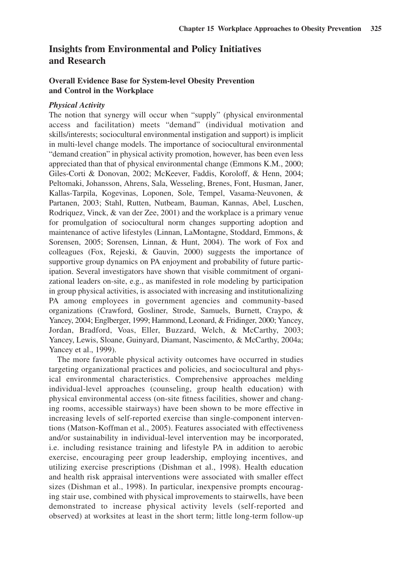# **Insights from Environmental and Policy Initiatives and Research**

# **Overall Evidence Base for System-level Obesity Prevention and Control in the Workplace**

# *Physical Activity*

The notion that synergy will occur when "supply" (physical environmental access and facilitation) meets "demand" (individual motivation and skills/interests; sociocultural environmental instigation and support) is implicit in multi-level change models. The importance of sociocultural environmental "demand creation" in physical activity promotion, however, has been even less appreciated than that of physical environmental change (Emmons K.M., 2000; Giles-Corti & Donovan, 2002; McKeever, Faddis, Koroloff, & Henn, 2004; Peltomaki, Johansson, Ahrens, Sala, Wesseling, Brenes, Font, Husman, Janer, Kallas-Tarpila, Kogevinas, Loponen, Sole, Tempel, Vasama-Neuvonen, & Partanen, 2003; Stahl, Rutten, Nutbeam, Bauman, Kannas, Abel, Luschen, Rodriquez, Vinck, & van der Zee, 2001) and the workplace is a primary venue for promulgation of sociocultural norm changes supporting adoption and maintenance of active lifestyles (Linnan, LaMontagne, Stoddard, Emmons, & Sorensen, 2005; Sorensen, Linnan, & Hunt, 2004). The work of Fox and colleagues (Fox, Rejeski, & Gauvin, 2000) suggests the importance of supportive group dynamics on PA enjoyment and probability of future participation. Several investigators have shown that visible commitment of organizational leaders on-site, e.g., as manifested in role modeling by participation in group physical activities, is associated with increasing and institutionalizing PA among employees in government agencies and community-based organizations (Crawford, Gosliner, Strode, Samuels, Burnett, Craypo, & Yancey, 2004; Englberger, 1999; Hammond, Leonard, & Fridinger, 2000; Yancey, Jordan, Bradford, Voas, Eller, Buzzard, Welch, & McCarthy, 2003; Yancey, Lewis, Sloane, Guinyard, Diamant, Nascimento, & McCarthy, 2004a; Yancey et al., 1999).

The more favorable physical activity outcomes have occurred in studies targeting organizational practices and policies, and sociocultural and physical environmental characteristics. Comprehensive approaches melding individual-level approaches (counseling, group health education) with physical environmental access (on-site fitness facilities, shower and changing rooms, accessible stairways) have been shown to be more effective in increasing levels of self-reported exercise than single-component interventions (Matson-Koffman et al., 2005). Features associated with effectiveness and/or sustainability in individual-level intervention may be incorporated, i.e. including resistance training and lifestyle PA in addition to aerobic exercise, encouraging peer group leadership, employing incentives, and utilizing exercise prescriptions (Dishman et al., 1998). Health education and health risk appraisal interventions were associated with smaller effect sizes (Dishman et al., 1998). In particular, inexpensive prompts encouraging stair use, combined with physical improvements to stairwells, have been demonstrated to increase physical activity levels (self-reported and observed) at worksites at least in the short term; little long-term follow-up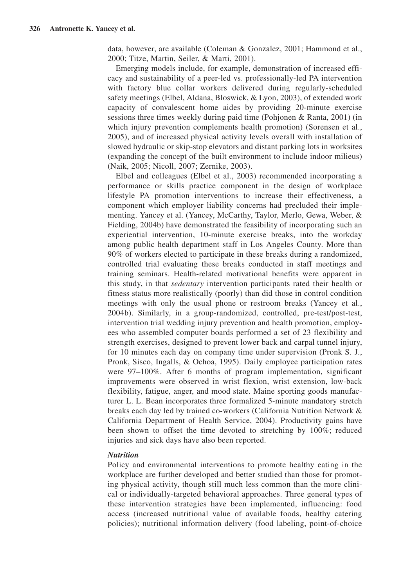data, however, are available (Coleman & Gonzalez, 2001; Hammond et al., 2000; Titze, Martin, Seiler, & Marti, 2001).

Emerging models include, for example, demonstration of increased efficacy and sustainability of a peer-led vs. professionally-led PA intervention with factory blue collar workers delivered during regularly-scheduled safety meetings (Elbel, Aldana, Bloswick, & Lyon, 2003), of extended work capacity of convalescent home aides by providing 20-minute exercise sessions three times weekly during paid time (Pohjonen & Ranta, 2001) (in which injury prevention complements health promotion) (Sorensen et al., 2005), and of increased physical activity levels overall with installation of slowed hydraulic or skip-stop elevators and distant parking lots in worksites (expanding the concept of the built environment to include indoor milieus) (Naik, 2005; Nicoll, 2007; Zernike, 2003).

Elbel and colleagues (Elbel et al., 2003) recommended incorporating a performance or skills practice component in the design of workplace lifestyle PA promotion interventions to increase their effectiveness, a component which employer liability concerns had precluded their implementing. Yancey et al. (Yancey, McCarthy, Taylor, Merlo, Gewa, Weber, & Fielding, 2004b) have demonstrated the feasibility of incorporating such an experiential intervention, 10-minute exercise breaks, into the workday among public health department staff in Los Angeles County. More than 90% of workers elected to participate in these breaks during a randomized, controlled trial evaluating these breaks conducted in staff meetings and training seminars. Health-related motivational benefits were apparent in this study, in that *sedentary* intervention participants rated their health or fitness status more realistically (poorly) than did those in control condition meetings with only the usual phone or restroom breaks (Yancey et al., 2004b). Similarly, in a group-randomized, controlled, pre-test/post-test, intervention trial wedding injury prevention and health promotion, employees who assembled computer boards performed a set of 23 flexibility and strength exercises, designed to prevent lower back and carpal tunnel injury, for 10 minutes each day on company time under supervision (Pronk S. J., Pronk, Sisco, Ingalls, & Ochoa, 1995). Daily employee participation rates were 97–100%. After 6 months of program implementation, significant improvements were observed in wrist flexion, wrist extension, low-back flexibility, fatigue, anger, and mood state. Maine sporting goods manufacturer L. L. Bean incorporates three formalized 5-minute mandatory stretch breaks each day led by trained co-workers (California Nutrition Network & California Department of Health Service, 2004). Productivity gains have been shown to offset the time devoted to stretching by 100%; reduced injuries and sick days have also been reported.

#### *Nutrition*

Policy and environmental interventions to promote healthy eating in the workplace are further developed and better studied than those for promoting physical activity, though still much less common than the more clinical or individually-targeted behavioral approaches. Three general types of these intervention strategies have been implemented, influencing: food access (increased nutritional value of available foods, healthy catering policies); nutritional information delivery (food labeling, point-of-choice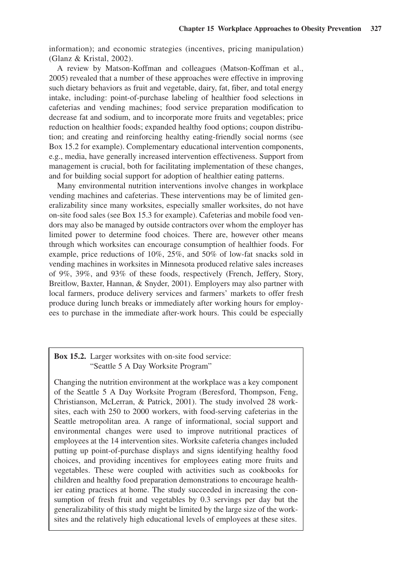information); and economic strategies (incentives, pricing manipulation) (Glanz & Kristal, 2002).

A review by Matson-Koffman and colleagues (Matson-Koffman et al., 2005) revealed that a number of these approaches were effective in improving such dietary behaviors as fruit and vegetable, dairy, fat, fiber, and total energy intake, including: point-of-purchase labeling of healthier food selections in cafeterias and vending machines; food service preparation modification to decrease fat and sodium, and to incorporate more fruits and vegetables; price reduction on healthier foods; expanded healthy food options; coupon distribution; and creating and reinforcing healthy eating-friendly social norms (see Box 15.2 for example). Complementary educational intervention components, e.g., media, have generally increased intervention effectiveness. Support from management is crucial, both for facilitating implementation of these changes, and for building social support for adoption of healthier eating patterns.

Many environmental nutrition interventions involve changes in workplace vending machines and cafeterias. These interventions may be of limited generalizability since many worksites, especially smaller worksites, do not have on-site food sales (see Box 15.3 for example). Cafeterias and mobile food vendors may also be managed by outside contractors over whom the employer has limited power to determine food choices. There are, however other means through which worksites can encourage consumption of healthier foods. For example, price reductions of 10%, 25%, and 50% of low-fat snacks sold in vending machines in worksites in Minnesota produced relative sales increases of 9%, 39%, and 93% of these foods, respectively (French, Jeffery, Story, Breitlow, Baxter, Hannan, & Snyder, 2001). Employers may also partner with local farmers, produce delivery services and farmers' markets to offer fresh produce during lunch breaks or immediately after working hours for employees to purchase in the immediate after-work hours. This could be especially

# **Box 15.2.** Larger worksites with on-site food service: "Seattle 5 A Day Worksite Program"

Changing the nutrition environment at the workplace was a key component of the Seattle 5 A Day Worksite Program (Beresford, Thompson, Feng, Christianson, McLerran, & Patrick, 2001). The study involved 28 worksites, each with 250 to 2000 workers, with food-serving cafeterias in the Seattle metropolitan area. A range of informational, social support and environmental changes were used to improve nutritional practices of employees at the 14 intervention sites. Worksite cafeteria changes included putting up point-of-purchase displays and signs identifying healthy food choices, and providing incentives for employees eating more fruits and vegetables. These were coupled with activities such as cookbooks for children and healthy food preparation demonstrations to encourage healthier eating practices at home. The study succeeded in increasing the consumption of fresh fruit and vegetables by 0.3 servings per day but the generalizability of this study might be limited by the large size of the worksites and the relatively high educational levels of employees at these sites.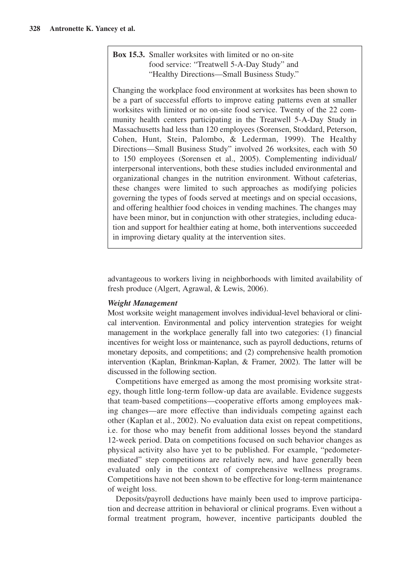# **Box 15.3.** Smaller worksites with limited or no on-site food service: "Treatwell 5-A-Day Study" and "Healthy Directions—Small Business Study."

Changing the workplace food environment at worksites has been shown to be a part of successful efforts to improve eating patterns even at smaller worksites with limited or no on-site food service. Twenty of the 22 community health centers participating in the Treatwell 5-A-Day Study in Massachusetts had less than 120 employees (Sorensen, Stoddard, Peterson, Cohen, Hunt, Stein, Palombo, & Lederman, 1999). The Healthy Directions—Small Business Study" involved 26 worksites, each with 50 to 150 employees (Sorensen et al., 2005). Complementing individual/ interpersonal interventions, both these studies included environmental and organizational changes in the nutrition environment. Without cafeterias, these changes were limited to such approaches as modifying policies governing the types of foods served at meetings and on special occasions, and offering healthier food choices in vending machines. The changes may have been minor, but in conjunction with other strategies, including education and support for healthier eating at home, both interventions succeeded in improving dietary quality at the intervention sites.

advantageous to workers living in neighborhoods with limited availability of fresh produce (Algert, Agrawal, & Lewis, 2006).

# *Weight Management*

Most worksite weight management involves individual-level behavioral or clinical intervention. Environmental and policy intervention strategies for weight management in the workplace generally fall into two categories: (1) financial incentives for weight loss or maintenance, such as payroll deductions, returns of monetary deposits, and competitions; and (2) comprehensive health promotion intervention (Kaplan, Brinkman-Kaplan, & Framer, 2002). The latter will be discussed in the following section.

Competitions have emerged as among the most promising worksite strategy, though little long-term follow-up data are available. Evidence suggests that team-based competitions—cooperative efforts among employees making changes—are more effective than individuals competing against each other (Kaplan et al., 2002). No evaluation data exist on repeat competitions, i.e. for those who may benefit from additional losses beyond the standard 12-week period. Data on competitions focused on such behavior changes as physical activity also have yet to be published. For example, "pedometermediated" step competitions are relatively new, and have generally been evaluated only in the context of comprehensive wellness programs. Competitions have not been shown to be effective for long-term maintenance of weight loss.

Deposits/payroll deductions have mainly been used to improve participation and decrease attrition in behavioral or clinical programs. Even without a formal treatment program, however, incentive participants doubled the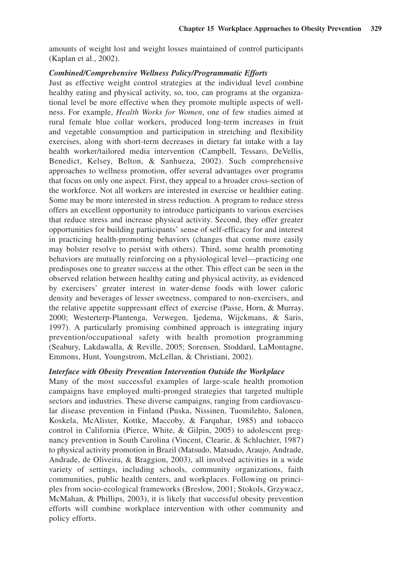amounts of weight lost and weight losses maintained of control participants (Kaplan et al., 2002).

#### *Combined/Comprehensive Wellness Policy/Programmatic Efforts*

Just as effective weight control strategies at the individual level combine healthy eating and physical activity, so, too, can programs at the organizational level be more effective when they promote multiple aspects of wellness. For example, *Health Works for Women*, one of few studies aimed at rural female blue collar workers, produced long-term increases in fruit and vegetable consumption and participation in stretching and flexibility exercises, along with short-term decreases in dietary fat intake with a lay health worker/tailored media intervention (Campbell, Tessaro, DeVellis, Benedict, Kelsey, Belton, & Sanhueza, 2002). Such comprehensive approaches to wellness promotion, offer several advantages over programs that focus on only one aspect. First, they appeal to a broader cross-section of the workforce. Not all workers are interested in exercise or healthier eating. Some may be more interested in stress reduction. A program to reduce stress offers an excellent opportunity to introduce participants to various exercises that reduce stress and increase physical activity. Second, they offer greater opportunities for building participants' sense of self-efficacy for and interest in practicing health-promoting behaviors (changes that come more easily may bolster resolve to persist with others). Third, some health promoting behaviors are mutually reinforcing on a physiological level—practicing one predisposes one to greater success at the other. This effect can be seen in the observed relation between healthy eating and physical activity, as evidenced by exercisers' greater interest in water-dense foods with lower caloric density and beverages of lesser sweetness, compared to non-exercisers, and the relative appetite suppressant effect of exercise (Passe, Horn, & Murray, 2000; Westerterp-Plantenga, Verwegen, Ijedema, Wijckmans, & Saris, 1997). A particularly promising combined approach is integrating injury prevention/occupational safety with health promotion programming (Seabury, Lakdawalla, & Reville, 2005; Sorensen, Stoddard, LaMontagne, Emmons, Hunt, Youngstrom, McLellan, & Christiani, 2002).

# *Interface with Obesity Prevention Intervention Outside the Workplace*

Many of the most successful examples of large-scale health promotion campaigns have employed multi-pronged strategies that targeted multiple sectors and industries. These diverse campaigns, ranging from cardiovascular disease prevention in Finland (Puska, Nissinen, Tuomilehto, Salonen, Koskela, McAlister, Kottke, Maccoby, & Farquhar, 1985) and tobacco control in California (Pierce, White, & Gilpin, 2005) to adolescent pregnancy prevention in South Carolina (Vincent, Clearie, & Schluchter, 1987) to physical activity promotion in Brazil (Matsudo, Matsudo, Araujo, Andrade, Andrade, de Oliveira, & Braggion, 2003), all involved activities in a wide variety of settings, including schools, community organizations, faith communities, public health centers, and workplaces. Following on principles from socio-ecological frameworks (Breslow, 2001; Stokols, Grzywacz, McMahan, & Phillips, 2003), it is likely that successful obesity prevention efforts will combine workplace intervention with other community and policy efforts.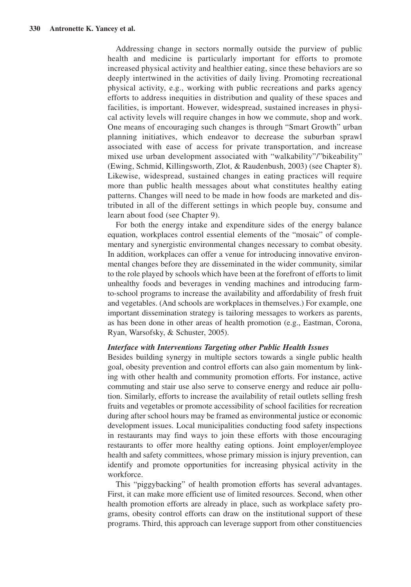Addressing change in sectors normally outside the purview of public health and medicine is particularly important for efforts to promote increased physical activity and healthier eating, since these behaviors are so deeply intertwined in the activities of daily living. Promoting recreational physical activity, e.g., working with public recreations and parks agency efforts to address inequities in distribution and quality of these spaces and facilities, is important. However, widespread, sustained increases in physical activity levels will require changes in how we commute, shop and work. One means of encouraging such changes is through "Smart Growth" urban planning initiatives, which endeavor to decrease the suburban sprawl associated with ease of access for private transportation, and increase mixed use urban development associated with "walkability"/"bikeability" (Ewing, Schmid, Killingsworth, Zlot, & Raudenbush, 2003) (see Chapter 8). Likewise, widespread, sustained changes in eating practices will require more than public health messages about what constitutes healthy eating patterns. Changes will need to be made in how foods are marketed and distributed in all of the different settings in which people buy, consume and learn about food (see Chapter 9).

For both the energy intake and expenditure sides of the energy balance equation, workplaces control essential elements of the "mosaic" of complementary and synergistic environmental changes necessary to combat obesity. In addition, workplaces can offer a venue for introducing innovative environmental changes before they are disseminated in the wider community, similar to the role played by schools which have been at the forefront of efforts to limit unhealthy foods and beverages in vending machines and introducing farmto-school programs to increase the availability and affordability of fresh fruit and vegetables. (And schools are workplaces in themselves.) For example, one important dissemination strategy is tailoring messages to workers as parents, as has been done in other areas of health promotion (e.g., Eastman, Corona, Ryan, Warsofsky, & Schuster, 2005).

#### *Interface with Interventions Targeting other Public Health Issues*

Besides building synergy in multiple sectors towards a single public health goal, obesity prevention and control efforts can also gain momentum by linking with other health and community promotion efforts. For instance, active commuting and stair use also serve to conserve energy and reduce air pollution. Similarly, efforts to increase the availability of retail outlets selling fresh fruits and vegetables or promote accessibility of school facilities for recreation during after school hours may be framed as environmental justice or economic development issues. Local municipalities conducting food safety inspections in restaurants may find ways to join these efforts with those encouraging restaurants to offer more healthy eating options. Joint employer/employee health and safety committees, whose primary mission is injury prevention, can identify and promote opportunities for increasing physical activity in the workforce.

This "piggybacking" of health promotion efforts has several advantages. First, it can make more efficient use of limited resources. Second, when other health promotion efforts are already in place, such as workplace safety programs, obesity control efforts can draw on the institutional support of these programs. Third, this approach can leverage support from other constituencies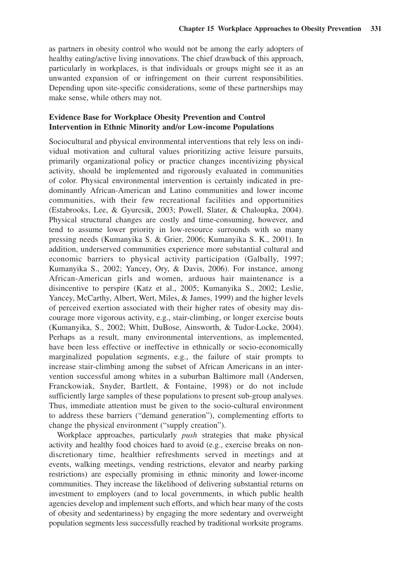as partners in obesity control who would not be among the early adopters of healthy eating/active living innovations. The chief drawback of this approach, particularly in workplaces, is that individuals or groups might see it as an unwanted expansion of or infringement on their current responsibilities. Depending upon site-specific considerations, some of these partnerships may make sense, while others may not.

# **Evidence Base for Workplace Obesity Prevention and Control Intervention in Ethnic Minority and/or Low-income Populations**

Sociocultural and physical environmental interventions that rely less on individual motivation and cultural values prioritizing active leisure pursuits, primarily organizational policy or practice changes incentivizing physical activity, should be implemented and rigorously evaluated in communities of color. Physical environmental intervention is certainly indicated in predominantly African-American and Latino communities and lower income communities, with their few recreational facilities and opportunities (Estabrooks, Lee, & Gyurcsik, 2003; Powell, Slater, & Chaloupka, 2004). Physical structural changes are costly and time-consuming, however, and tend to assume lower priority in low-resource surrounds with so many pressing needs (Kumanyika S. & Grier, 2006; Kumanyika S. K., 2001). In addition, underserved communities experience more substantial cultural and economic barriers to physical activity participation (Galbally, 1997; Kumanyika S., 2002; Yancey, Ory, & Davis, 2006). For instance, among African-American girls and women, arduous hair maintenance is a disincentive to perspire (Katz et al., 2005; Kumanyika S., 2002; Leslie, Yancey, McCarthy, Albert, Wert, Miles, & James, 1999) and the higher levels of perceived exertion associated with their higher rates of obesity may discourage more vigorous activity, e.g., stair-climbing, or longer exercise bouts (Kumanyika, S., 2002; Whitt, DuBose, Ainsworth, & Tudor-Locke, 2004). Perhaps as a result, many environmental interventions, as implemented, have been less effective or ineffective in ethnically or socio-economically marginalized population segments, e.g., the failure of stair prompts to increase stair-climbing among the subset of African Americans in an intervention successful among whites in a suburban Baltimore mall (Andersen, Franckowiak, Snyder, Bartlett, & Fontaine, 1998) or do not include sufficiently large samples of these populations to present sub-group analyses. Thus, immediate attention must be given to the socio-cultural environment to address these barriers ("demand generation"), complementing efforts to change the physical environment ("supply creation").

Workplace approaches, particularly *push* strategies that make physical activity and healthy food choices hard to avoid (e.g., exercise breaks on nondiscretionary time, healthier refreshments served in meetings and at events, walking meetings, vending restrictions, elevator and nearby parking restrictions) are especially promising in ethnic minority and lower-income communities. They increase the likelihood of delivering substantial returns on investment to employers (and to local governments, in which public health agencies develop and implement such efforts, and which bear many of the costs of obesity and sedentariness) by engaging the more sedentary and overweight population segments less successfully reached by traditional worksite programs.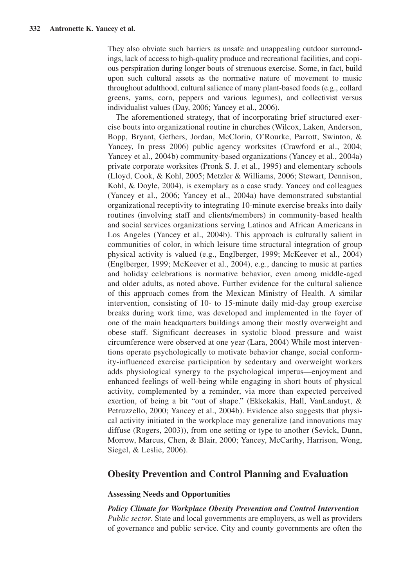They also obviate such barriers as unsafe and unappealing outdoor surroundings, lack of access to high-quality produce and recreational facilities, and copious perspiration during longer bouts of strenuous exercise. Some, in fact, build upon such cultural assets as the normative nature of movement to music throughout adulthood, cultural salience of many plant-based foods (e.g., collard greens, yams, corn, peppers and various legumes), and collectivist versus individualist values (Day, 2006; Yancey et al., 2006).

The aforementioned strategy, that of incorporating brief structured exercise bouts into organizational routine in churches (Wilcox, Laken, Anderson, Bopp, Bryant, Gethers, Jordan, McClorin, O'Rourke, Parrott, Swinton, & Yancey, In press 2006) public agency worksites (Crawford et al., 2004; Yancey et al., 2004b) community-based organizations (Yancey et al., 2004a) private corporate worksites (Pronk S. J. et al., 1995) and elementary schools (Lloyd, Cook, & Kohl, 2005; Metzler & Williams, 2006; Stewart, Dennison, Kohl, & Doyle, 2004), is exemplary as a case study. Yancey and colleagues (Yancey et al., 2006; Yancey et al., 2004a) have demonstrated substantial organizational receptivity to integrating 10-minute exercise breaks into daily routines (involving staff and clients/members) in community-based health and social services organizations serving Latinos and African Americans in Los Angeles (Yancey et al., 2004b). This approach is culturally salient in communities of color, in which leisure time structural integration of group physical activity is valued (e.g., Englberger, 1999; McKeever et al., 2004) (Englberger, 1999; McKeever et al., 2004), e.g., dancing to music at parties and holiday celebrations is normative behavior, even among middle-aged and older adults, as noted above. Further evidence for the cultural salience of this approach comes from the Mexican Ministry of Health. A similar intervention, consisting of 10- to 15-minute daily mid-day group exercise breaks during work time, was developed and implemented in the foyer of one of the main headquarters buildings among their mostly overweight and obese staff. Significant decreases in systolic blood pressure and waist circumference were observed at one year (Lara, 2004) While most interventions operate psychologically to motivate behavior change, social conformity-influenced exercise participation by sedentary and overweight workers adds physiological synergy to the psychological impetus—enjoyment and enhanced feelings of well-being while engaging in short bouts of physical activity, complemented by a reminder, via more than expected perceived exertion, of being a bit "out of shape." (Ekkekakis, Hall, VanLanduyt, & Petruzzello, 2000; Yancey et al., 2004b). Evidence also suggests that physical activity initiated in the workplace may generalize (and innovations may diffuse (Rogers, 2003)), from one setting or type to another (Sevick, Dunn, Morrow, Marcus, Chen, & Blair, 2000; Yancey, McCarthy, Harrison, Wong, Siegel, & Leslie, 2006).

# **Obesity Prevention and Control Planning and Evaluation**

# **Assessing Needs and Opportunities**

*Policy Climate for Workplace Obesity Prevention and Control Intervention Public sector*. State and local governments are employers, as well as providers of governance and public service. City and county governments are often the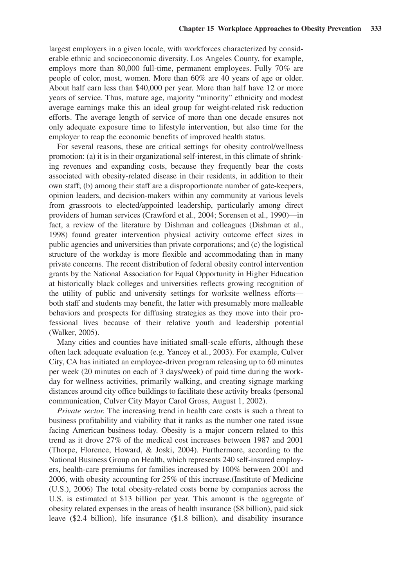largest employers in a given locale, with workforces characterized by considerable ethnic and socioeconomic diversity. Los Angeles County, for example, employs more than 80,000 full-time, permanent employees. Fully 70% are people of color, most, women. More than 60% are 40 years of age or older. About half earn less than \$40,000 per year. More than half have 12 or more years of service. Thus, mature age, majority "minority" ethnicity and modest average earnings make this an ideal group for weight-related risk reduction efforts. The average length of service of more than one decade ensures not only adequate exposure time to lifestyle intervention, but also time for the employer to reap the economic benefits of improved health status.

For several reasons, these are critical settings for obesity control/wellness promotion: (a) it is in their organizational self-interest, in this climate of shrinking revenues and expanding costs, because they frequently bear the costs associated with obesity-related disease in their residents, in addition to their own staff; (b) among their staff are a disproportionate number of gate-keepers, opinion leaders, and decision-makers within any community at various levels from grassroots to elected/appointed leadership, particularly among direct providers of human services (Crawford et al., 2004; Sorensen et al., 1990)—in fact, a review of the literature by Dishman and colleagues (Dishman et al., 1998) found greater intervention physical activity outcome effect sizes in public agencies and universities than private corporations; and (c) the logistical structure of the workday is more flexible and accommodating than in many private concerns. The recent distribution of federal obesity control intervention grants by the National Association for Equal Opportunity in Higher Education at historically black colleges and universities reflects growing recognition of the utility of public and university settings for worksite wellness efforts both staff and students may benefit, the latter with presumably more malleable behaviors and prospects for diffusing strategies as they move into their professional lives because of their relative youth and leadership potential (Walker, 2005).

Many cities and counties have initiated small-scale efforts, although these often lack adequate evaluation (e.g. Yancey et al., 2003). For example, Culver City, CA has initiated an employee-driven program releasing up to 60 minutes per week (20 minutes on each of 3 days/week) of paid time during the workday for wellness activities, primarily walking, and creating signage marking distances around city office buildings to facilitate these activity breaks (personal communication, Culver City Mayor Carol Gross, August 1, 2002).

*Private sector.* The increasing trend in health care costs is such a threat to business profitability and viability that it ranks as the number one rated issue facing American business today. Obesity is a major concern related to this trend as it drove 27% of the medical cost increases between 1987 and 2001 (Thorpe, Florence, Howard, & Joski, 2004). Furthermore, according to the National Business Group on Health, which represents 240 self-insured employers, health-care premiums for families increased by 100% between 2001 and 2006, with obesity accounting for 25% of this increase.(Institute of Medicine (U.S.), 2006) The total obesity-related costs borne by companies across the U.S. is estimated at \$13 billion per year. This amount is the aggregate of obesity related expenses in the areas of health insurance (\$8 billion), paid sick leave (\$2.4 billion), life insurance (\$1.8 billion), and disability insurance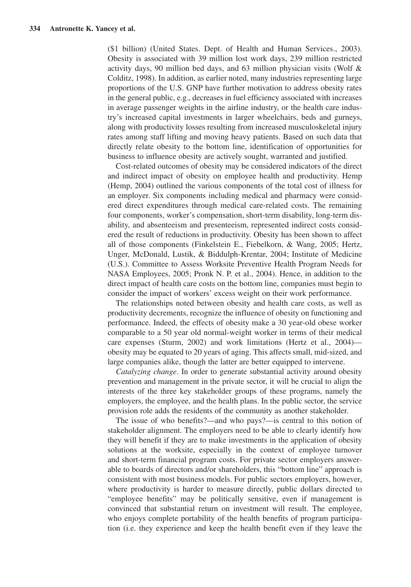(\$1 billion) (United States. Dept. of Health and Human Services., 2003). Obesity is associated with 39 million lost work days, 239 million restricted activity days, 90 million bed days, and 63 million physician visits (Wolf & Colditz, 1998). In addition, as earlier noted, many industries representing large proportions of the U.S. GNP have further motivation to address obesity rates in the general public, e.g., decreases in fuel efficiency associated with increases in average passenger weights in the airline industry, or the health care industry's increased capital investments in larger wheelchairs, beds and gurneys, along with productivity losses resulting from increased musculoskeletal injury rates among staff lifting and moving heavy patients. Based on such data that directly relate obesity to the bottom line, identification of opportunities for business to influence obesity are actively sought, warranted and justified.

Cost-related outcomes of obesity may be considered indicators of the direct and indirect impact of obesity on employee health and productivity. Hemp (Hemp, 2004) outlined the various components of the total cost of illness for an employer. Six components including medical and pharmacy were considered direct expenditures through medical care-related costs. The remaining four components, worker's compensation, short-term disability, long-term disability, and absenteeism and presenteeism, represented indirect costs considered the result of reductions in productivity. Obesity has been shown to affect all of those components (Finkelstein E., Fiebelkorn, & Wang, 2005; Hertz, Unger, McDonald, Lustik, & Biddulph-Krentar, 2004; Institute of Medicine (U.S.). Committee to Assess Worksite Preventive Health Program Needs for NASA Employees, 2005; Pronk N. P. et al., 2004). Hence, in addition to the direct impact of health care costs on the bottom line, companies must begin to consider the impact of workers' excess weight on their work performance.

The relationships noted between obesity and health care costs, as well as productivity decrements, recognize the influence of obesity on functioning and performance. Indeed, the effects of obesity make a 30 year-old obese worker comparable to a 50 year old normal-weight worker in terms of their medical care expenses (Sturm, 2002) and work limitations (Hertz et al., 2004) obesity may be equated to 20 years of aging. This affects small, mid-sized, and large companies alike, though the latter are better equipped to intervene.

*Catalyzing change*. In order to generate substantial activity around obesity prevention and management in the private sector, it will be crucial to align the interests of the three key stakeholder groups of these programs, namely the employers, the employee, and the health plans. In the public sector, the service provision role adds the residents of the community as another stakeholder.

The issue of who benefits?—and who pays?—is central to this notion of stakeholder alignment. The employers need to be able to clearly identify how they will benefit if they are to make investments in the application of obesity solutions at the worksite, especially in the context of employee turnover and short-term financial program costs. For private sector employers answerable to boards of directors and/or shareholders, this "bottom line" approach is consistent with most business models. For public sectors employers, however, where productivity is harder to measure directly, public dollars directed to "employee benefits" may be politically sensitive, even if management is convinced that substantial return on investment will result. The employee, who enjoys complete portability of the health benefits of program participation (i.e. they experience and keep the health benefit even if they leave the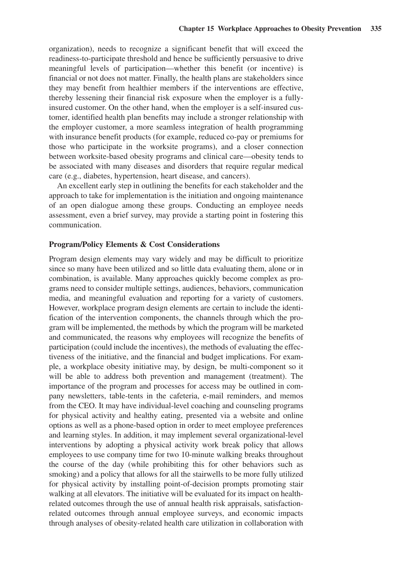organization), needs to recognize a significant benefit that will exceed the readiness-to-participate threshold and hence be sufficiently persuasive to drive meaningful levels of participation—whether this benefit (or incentive) is financial or not does not matter. Finally, the health plans are stakeholders since they may benefit from healthier members if the interventions are effective, thereby lessening their financial risk exposure when the employer is a fullyinsured customer. On the other hand, when the employer is a self-insured customer, identified health plan benefits may include a stronger relationship with the employer customer, a more seamless integration of health programming with insurance benefit products (for example, reduced co-pay or premiums for those who participate in the worksite programs), and a closer connection between worksite-based obesity programs and clinical care—obesity tends to be associated with many diseases and disorders that require regular medical care (e.g., diabetes, hypertension, heart disease, and cancers).

An excellent early step in outlining the benefits for each stakeholder and the approach to take for implementation is the initiation and ongoing maintenance of an open dialogue among these groups. Conducting an employee needs assessment, even a brief survey, may provide a starting point in fostering this communication.

#### **Program/Policy Elements & Cost Considerations**

Program design elements may vary widely and may be difficult to prioritize since so many have been utilized and so little data evaluating them, alone or in combination, is available. Many approaches quickly become complex as programs need to consider multiple settings, audiences, behaviors, communication media, and meaningful evaluation and reporting for a variety of customers. However, workplace program design elements are certain to include the identification of the intervention components, the channels through which the program will be implemented, the methods by which the program will be marketed and communicated, the reasons why employees will recognize the benefits of participation (could include the incentives), the methods of evaluating the effectiveness of the initiative, and the financial and budget implications. For example, a workplace obesity initiative may, by design, be multi-component so it will be able to address both prevention and management (treatment). The importance of the program and processes for access may be outlined in company newsletters, table-tents in the cafeteria, e-mail reminders, and memos from the CEO. It may have individual-level coaching and counseling programs for physical activity and healthy eating, presented via a website and online options as well as a phone-based option in order to meet employee preferences and learning styles. In addition, it may implement several organizational-level interventions by adopting a physical activity work break policy that allows employees to use company time for two 10-minute walking breaks throughout the course of the day (while prohibiting this for other behaviors such as smoking) and a policy that allows for all the stairwells to be more fully utilized for physical activity by installing point-of-decision prompts promoting stair walking at all elevators. The initiative will be evaluated for its impact on healthrelated outcomes through the use of annual health risk appraisals, satisfactionrelated outcomes through annual employee surveys, and economic impacts through analyses of obesity-related health care utilization in collaboration with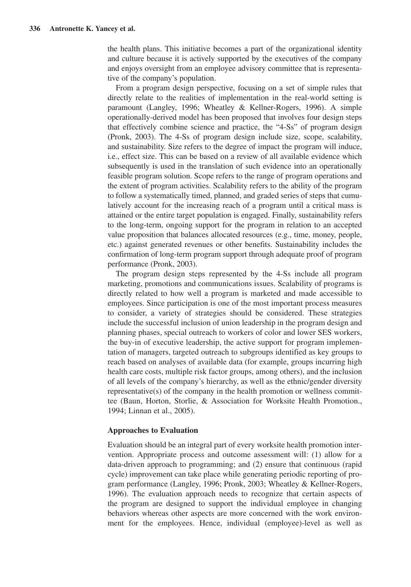the health plans. This initiative becomes a part of the organizational identity and culture because it is actively supported by the executives of the company and enjoys oversight from an employee advisory committee that is representative of the company's population.

From a program design perspective, focusing on a set of simple rules that directly relate to the realities of implementation in the real-world setting is paramount (Langley, 1996; Wheatley & Kellner-Rogers, 1996). A simple operationally-derived model has been proposed that involves four design steps that effectively combine science and practice, the "4-Ss" of program design (Pronk, 2003). The 4-Ss of program design include size, scope, scalability, and sustainability. Size refers to the degree of impact the program will induce, i.e., effect size. This can be based on a review of all available evidence which subsequently is used in the translation of such evidence into an operationally feasible program solution. Scope refers to the range of program operations and the extent of program activities. Scalability refers to the ability of the program to follow a systematically timed, planned, and graded series of steps that cumulatively account for the increasing reach of a program until a critical mass is attained or the entire target population is engaged. Finally, sustainability refers to the long-term, ongoing support for the program in relation to an accepted value proposition that balances allocated resources (e.g., time, money, people, etc.) against generated revenues or other benefits. Sustainability includes the confirmation of long-term program support through adequate proof of program performance (Pronk, 2003).

The program design steps represented by the 4-Ss include all program marketing, promotions and communications issues. Scalability of programs is directly related to how well a program is marketed and made accessible to employees. Since participation is one of the most important process measures to consider, a variety of strategies should be considered. These strategies include the successful inclusion of union leadership in the program design and planning phases, special outreach to workers of color and lower SES workers, the buy-in of executive leadership, the active support for program implementation of managers, targeted outreach to subgroups identified as key groups to reach based on analyses of available data (for example, groups incurring high health care costs, multiple risk factor groups, among others), and the inclusion of all levels of the company's hierarchy, as well as the ethnic/gender diversity representative(s) of the company in the health promotion or wellness committee (Baun, Horton, Storlie, & Association for Worksite Health Promotion., 1994; Linnan et al., 2005).

# **Approaches to Evaluation**

Evaluation should be an integral part of every worksite health promotion intervention. Appropriate process and outcome assessment will: (1) allow for a data-driven approach to programming; and (2) ensure that continuous (rapid cycle) improvement can take place while generating periodic reporting of program performance (Langley, 1996; Pronk, 2003; Wheatley & Kellner-Rogers, 1996). The evaluation approach needs to recognize that certain aspects of the program are designed to support the individual employee in changing behaviors whereas other aspects are more concerned with the work environment for the employees. Hence, individual (employee)-level as well as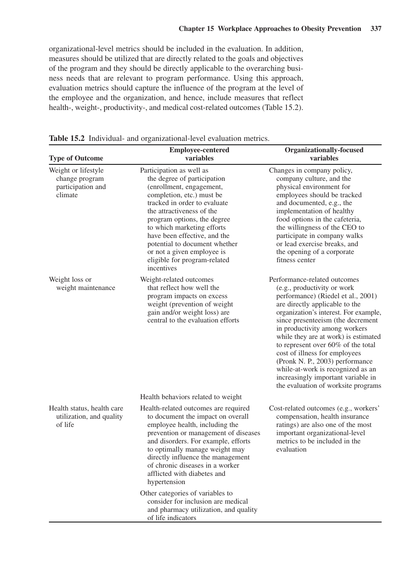organizational-level metrics should be included in the evaluation. In addition, measures should be utilized that are directly related to the goals and objectives of the program and they should be directly applicable to the overarching business needs that are relevant to program performance. Using this approach, evaluation metrics should capture the influence of the program at the level of the employee and the organization, and hence, include measures that reflect health-, weight-, productivity-, and medical cost-related outcomes (Table 15.2).

| <b>Type of Outcome</b>                                                | <b>Employee-centered</b><br>variables                                                                                                                                                                                                                                                                                                                                                     | Organizationally-focused<br>variables                                                                                                                                                                                                                                                                                                                                                                                                                                                                                  |
|-----------------------------------------------------------------------|-------------------------------------------------------------------------------------------------------------------------------------------------------------------------------------------------------------------------------------------------------------------------------------------------------------------------------------------------------------------------------------------|------------------------------------------------------------------------------------------------------------------------------------------------------------------------------------------------------------------------------------------------------------------------------------------------------------------------------------------------------------------------------------------------------------------------------------------------------------------------------------------------------------------------|
| Weight or lifestyle<br>change program<br>participation and<br>climate | Participation as well as<br>the degree of participation<br>(enrollment, engagement,<br>completion, etc.) must be<br>tracked in order to evaluate<br>the attractiveness of the<br>program options, the degree<br>to which marketing efforts<br>have been effective, and the<br>potential to document whether<br>or not a given employee is<br>eligible for program-related<br>incentives   | Changes in company policy,<br>company culture, and the<br>physical environment for<br>employees should be tracked<br>and documented, e.g., the<br>implementation of healthy<br>food options in the cafeteria,<br>the willingness of the CEO to<br>participate in company walks<br>or lead exercise breaks, and<br>the opening of a corporate<br>fitness center                                                                                                                                                         |
| Weight loss or<br>weight maintenance                                  | Weight-related outcomes<br>that reflect how well the<br>program impacts on excess<br>weight (prevention of weight<br>gain and/or weight loss) are<br>central to the evaluation efforts                                                                                                                                                                                                    | Performance-related outcomes<br>(e.g., productivity or work<br>performance) (Riedel et al., 2001)<br>are directly applicable to the<br>organization's interest. For example,<br>since presenteeism (the decrement<br>in productivity among workers<br>while they are at work) is estimated<br>to represent over 60% of the total<br>cost of illness for employees<br>(Pronk N. P., 2003) performance<br>while-at-work is recognized as an<br>increasingly important variable in<br>the evaluation of worksite programs |
| Health status, health care<br>utilization, and quality<br>of life     | Health behaviors related to weight<br>Health-related outcomes are required<br>to document the impact on overall<br>employee health, including the<br>prevention or management of diseases<br>and disorders. For example, efforts<br>to optimally manage weight may<br>directly influence the management<br>of chronic diseases in a worker<br>afflicted with diabetes and<br>hypertension | Cost-related outcomes (e.g., workers'<br>compensation, health insurance<br>ratings) are also one of the most<br>important organizational-level<br>metrics to be included in the<br>evaluation                                                                                                                                                                                                                                                                                                                          |
|                                                                       | Other categories of variables to<br>consider for inclusion are medical<br>and pharmacy utilization, and quality<br>of life indicators                                                                                                                                                                                                                                                     |                                                                                                                                                                                                                                                                                                                                                                                                                                                                                                                        |

**Table 15.2** Individual- and organizational-level evaluation metrics.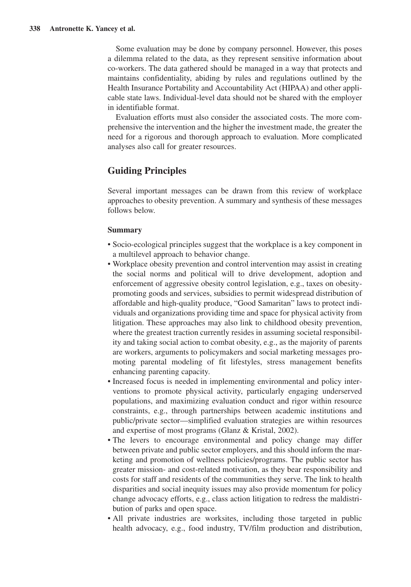Some evaluation may be done by company personnel. However, this poses a dilemma related to the data, as they represent sensitive information about co-workers. The data gathered should be managed in a way that protects and maintains confidentiality, abiding by rules and regulations outlined by the Health Insurance Portability and Accountability Act (HIPAA) and other applicable state laws. Individual-level data should not be shared with the employer in identifiable format.

Evaluation efforts must also consider the associated costs. The more comprehensive the intervention and the higher the investment made, the greater the need for a rigorous and thorough approach to evaluation. More complicated analyses also call for greater resources.

# **Guiding Principles**

Several important messages can be drawn from this review of workplace approaches to obesity prevention. A summary and synthesis of these messages follows below.

# **Summary**

- Socio-ecological principles suggest that the workplace is a key component in a multilevel approach to behavior change.
- Workplace obesity prevention and control intervention may assist in creating the social norms and political will to drive development, adoption and enforcement of aggressive obesity control legislation, e.g., taxes on obesitypromoting goods and services, subsidies to permit widespread distribution of affordable and high-quality produce, "Good Samaritan" laws to protect individuals and organizations providing time and space for physical activity from litigation. These approaches may also link to childhood obesity prevention, where the greatest traction currently resides in assuming societal responsibility and taking social action to combat obesity, e.g., as the majority of parents are workers, arguments to policymakers and social marketing messages promoting parental modeling of fit lifestyles, stress management benefits enhancing parenting capacity.
- Increased focus is needed in implementing environmental and policy interventions to promote physical activity, particularly engaging underserved populations, and maximizing evaluation conduct and rigor within resource constraints, e.g., through partnerships between academic institutions and public/private sector—simplified evaluation strategies are within resources and expertise of most programs (Glanz & Kristal, 2002).
- The levers to encourage environmental and policy change may differ between private and public sector employers, and this should inform the marketing and promotion of wellness policies/programs. The public sector has greater mission- and cost-related motivation, as they bear responsibility and costs for staff and residents of the communities they serve. The link to health disparities and social inequity issues may also provide momentum for policy change advocacy efforts, e.g., class action litigation to redress the maldistribution of parks and open space.
- All private industries are worksites, including those targeted in public health advocacy, e.g., food industry, TV/film production and distribution,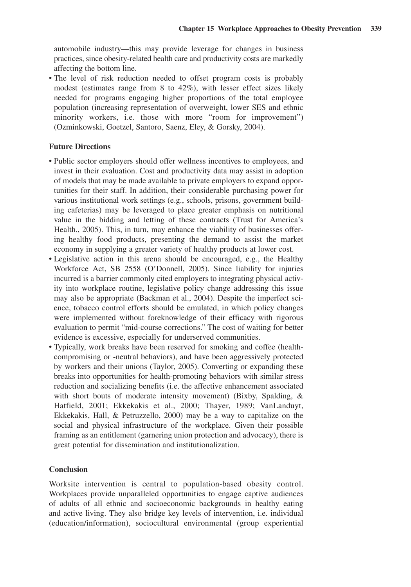automobile industry—this may provide leverage for changes in business practices, since obesity-related health care and productivity costs are markedly affecting the bottom line.

• The level of risk reduction needed to offset program costs is probably modest (estimates range from 8 to 42%), with lesser effect sizes likely needed for programs engaging higher proportions of the total employee population (increasing representation of overweight, lower SES and ethnic minority workers, i.e. those with more "room for improvement") (Ozminkowski, Goetzel, Santoro, Saenz, Eley, & Gorsky, 2004).

# **Future Directions**

- Public sector employers should offer wellness incentives to employees, and invest in their evaluation. Cost and productivity data may assist in adoption of models that may be made available to private employers to expand opportunities for their staff. In addition, their considerable purchasing power for various institutional work settings (e.g., schools, prisons, government building cafeterias) may be leveraged to place greater emphasis on nutritional value in the bidding and letting of these contracts (Trust for America's Health., 2005). This, in turn, may enhance the viability of businesses offering healthy food products, presenting the demand to assist the market economy in supplying a greater variety of healthy products at lower cost.
- Legislative action in this arena should be encouraged, e.g., the Healthy Workforce Act, SB 2558 (O'Donnell, 2005). Since liability for injuries incurred is a barrier commonly cited employers to integrating physical activity into workplace routine, legislative policy change addressing this issue may also be appropriate (Backman et al., 2004). Despite the imperfect science, tobacco control efforts should be emulated, in which policy changes were implemented without foreknowledge of their efficacy with rigorous evaluation to permit "mid-course corrections." The cost of waiting for better evidence is excessive, especially for underserved communities.
- Typically, work breaks have been reserved for smoking and coffee (healthcompromising or -neutral behaviors), and have been aggressively protected by workers and their unions (Taylor, 2005). Converting or expanding these breaks into opportunities for health-promoting behaviors with similar stress reduction and socializing benefits (i.e. the affective enhancement associated with short bouts of moderate intensity movement) (Bixby, Spalding, & Hatfield, 2001; Ekkekakis et al., 2000; Thayer, 1989; VanLanduyt, Ekkekakis, Hall, & Petruzzello, 2000) may be a way to capitalize on the social and physical infrastructure of the workplace. Given their possible framing as an entitlement (garnering union protection and advocacy), there is great potential for dissemination and institutionalization.

# **Conclusion**

Worksite intervention is central to population-based obesity control. Workplaces provide unparalleled opportunities to engage captive audiences of adults of all ethnic and socioeconomic backgrounds in healthy eating and active living. They also bridge key levels of intervention, i.e. individual (education/information), sociocultural environmental (group experiential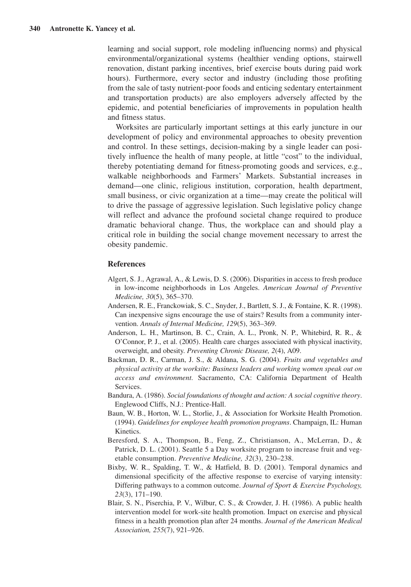learning and social support, role modeling influencing norms) and physical environmental/organizational systems (healthier vending options, stairwell renovation, distant parking incentives, brief exercise bouts during paid work hours). Furthermore, every sector and industry (including those profiting from the sale of tasty nutrient-poor foods and enticing sedentary entertainment and transportation products) are also employers adversely affected by the epidemic, and potential beneficiaries of improvements in population health and fitness status.

Worksites are particularly important settings at this early juncture in our development of policy and environmental approaches to obesity prevention and control. In these settings, decision-making by a single leader can positively influence the health of many people, at little "cost" to the individual, thereby potentiating demand for fitness-promoting goods and services, e.g., walkable neighborhoods and Farmers' Markets. Substantial increases in demand—one clinic, religious institution, corporation, health department, small business, or civic organization at a time—may create the political will to drive the passage of aggressive legislation. Such legislative policy change will reflect and advance the profound societal change required to produce dramatic behavioral change. Thus, the workplace can and should play a critical role in building the social change movement necessary to arrest the obesity pandemic.

#### **References**

- Algert, S. J., Agrawal, A., & Lewis, D. S. (2006). Disparities in access to fresh produce in low-income neighborhoods in Los Angeles. *American Journal of Preventive Medicine, 30*(5), 365–370.
- Andersen, R. E., Franckowiak, S. C., Snyder, J., Bartlett, S. J., & Fontaine, K. R. (1998). Can inexpensive signs encourage the use of stairs? Results from a community intervention. *Annals of Internal Medicine, 129*(5), 363–369.
- Anderson, L. H., Martinson, B. C., Crain, A. L., Pronk, N. P., Whitebird, R. R., & O'Connor, P. J., et al. (2005). Health care charges associated with physical inactivity, overweight, and obesity. *Preventing Chronic Disease, 2*(4), A09.
- Backman, D. R., Carman, J. S., & Aldana, S. G. (2004). *Fruits and vegetables and physical activity at the worksite: Business leaders and working women speak out on access and environment.* Sacramento, CA: California Department of Health Services.
- Bandura, A. (1986). *Social foundations of thought and action: A social cognitive theory*. Englewood Cliffs, N.J.: Prentice-Hall.
- Baun, W. B., Horton, W. L., Storlie, J., & Association for Worksite Health Promotion. (1994). *Guidelines for employee health promotion programs*. Champaign, IL: Human Kinetics.
- Beresford, S. A., Thompson, B., Feng, Z., Christianson, A., McLerran, D., & Patrick, D. L. (2001). Seattle 5 a Day worksite program to increase fruit and vegetable consumption. *Preventive Medicine, 32*(3), 230–238.
- Bixby, W. R., Spalding, T. W., & Hatfield, B. D. (2001). Temporal dynamics and dimensional specificity of the affective response to exercise of varying intensity: Differing pathways to a common outcome. *Journal of Sport & Exercise Psychology, 23*(3), 171–190.
- Blair, S. N., Piserchia, P. V., Wilbur, C. S., & Crowder, J. H. (1986). A public health intervention model for work-site health promotion. Impact on exercise and physical fitness in a health promotion plan after 24 months. *Journal of the American Medical Association, 255*(7), 921–926.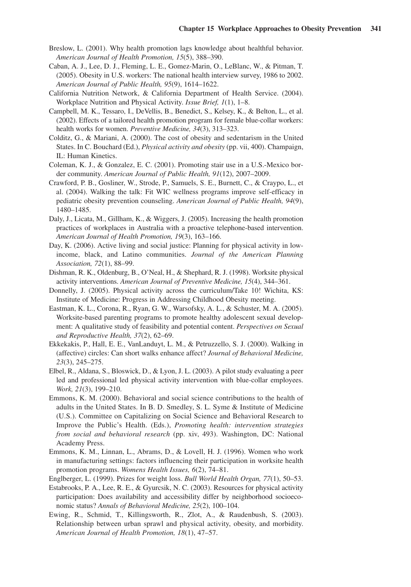- Breslow, L. (2001). Why health promotion lags knowledge about healthful behavior. *American Journal of Health Promotion, 15*(5), 388–390.
- Caban, A. J., Lee, D. J., Fleming, L. E., Gomez-Marin, O., LeBlanc, W., & Pitman, T. (2005). Obesity in U.S. workers: The national health interview survey, 1986 to 2002. *American Journal of Public Health, 95*(9), 1614–1622.
- California Nutrition Network, & California Department of Health Service. (2004). Workplace Nutrition and Physical Activity. *Issue Brief, 1*(1), 1–8.
- Campbell, M. K., Tessaro, I., DeVellis, B., Benedict, S., Kelsey, K., & Belton, L., et al. (2002). Effects of a tailored health promotion program for female blue-collar workers: health works for women. *Preventive Medicine, 34*(3), 313–323.
- Colditz, G., & Mariani, A. (2000). The cost of obesity and sedentarism in the United States. In C. Bouchard (Ed.), *Physical activity and obesity* (pp. vii, 400). Champaign, IL: Human Kinetics.
- Coleman, K. J., & Gonzalez, E. C. (2001). Promoting stair use in a U.S.-Mexico border community. *American Journal of Public Health, 91*(12), 2007–2009.
- Crawford, P. B., Gosliner, W., Strode, P., Samuels, S. E., Burnett, C., & Craypo, L., et al. (2004). Walking the talk: Fit WIC wellness programs improve self-efficacy in pediatric obesity prevention counseling. *American Journal of Public Health, 94*(9), 1480–1485.
- Daly, J., Licata, M., Gillham, K., & Wiggers, J. (2005). Increasing the health promotion practices of workplaces in Australia with a proactive telephone-based intervention. *American Journal of Health Promotion, 19*(3), 163–166.
- Day, K. (2006). Active living and social justice: Planning for physical activity in lowincome, black, and Latino communities. *Journal of the American Planning Association, 72*(1), 88–99.
- Dishman, R. K., Oldenburg, B., O'Neal, H., & Shephard, R. J. (1998). Worksite physical activity interventions. *American Journal of Preventive Medicine, 15*(4), 344–361.
- Donnelly, J. (2005). Physical activity across the curriculum/Take 10! Wichita, KS: Institute of Medicine: Progress in Addressing Childhood Obesity meeting.
- Eastman, K. L., Corona, R., Ryan, G. W., Warsofsky, A. L., & Schuster, M. A. (2005). Worksite-based parenting programs to promote healthy adolescent sexual development: A qualitative study of feasibility and potential content. *Perspectives on Sexual and Reproductive Health, 37*(2), 62–69.
- Ekkekakis, P., Hall, E. E., VanLanduyt, L. M., & Petruzzello, S. J. (2000). Walking in (affective) circles: Can short walks enhance affect? *Journal of Behavioral Medicine, 23*(3), 245–275.
- Elbel, R., Aldana, S., Bloswick, D., & Lyon, J. L. (2003). A pilot study evaluating a peer led and professional led physical activity intervention with blue-collar employees. *Work, 21*(3), 199–210.
- Emmons, K. M. (2000). Behavioral and social science contributions to the health of adults in the United States. In B. D. Smedley, S. L. Syme & Institute of Medicine (U.S.). Committee on Capitalizing on Social Science and Behavioral Research to Improve the Public's Health. (Eds.), *Promoting health: intervention strategies from social and behavioral research* (pp. xiv, 493). Washington, DC: National Academy Press.
- Emmons, K. M., Linnan, L., Abrams, D., & Lovell, H. J. (1996). Women who work in manufacturing settings: factors influencing their participation in worksite health promotion programs. *Womens Health Issues, 6*(2), 74–81.
- Englberger, L. (1999). Prizes for weight loss. *Bull World Health Organ, 77*(1), 50–53.
- Estabrooks, P. A., Lee, R. E., & Gyurcsik, N. C. (2003). Resources for physical activity participation: Does availability and accessibility differ by neighborhood socioeconomic status? *Annals of Behavioral Medicine, 25*(2), 100–104.
- Ewing, R., Schmid, T., Killingsworth, R., Zlot, A., & Raudenbush, S. (2003). Relationship between urban sprawl and physical activity, obesity, and morbidity. *American Journal of Health Promotion, 18*(1), 47–57.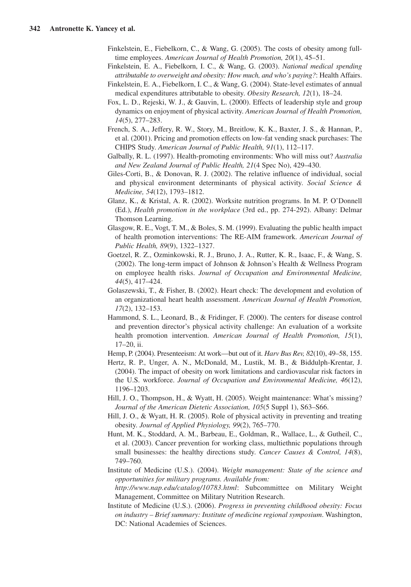- Finkelstein, E., Fiebelkorn, C., & Wang, G. (2005). The costs of obesity among fulltime employees. *American Journal of Health Promotion, 20*(1), 45–51.
- Finkelstein, E. A., Fiebelkorn, I. C., & Wang, G. (2003). *National medical spending attributable to overweight and obesity: How much, and who's paying?*: Health Affairs.
- Finkelstein, E. A., Fiebelkorn, I. C., & Wang, G. (2004). State-level estimates of annual medical expenditures attributable to obesity. *Obesity Research, 12*(1), 18–24.
- Fox, L. D., Rejeski, W. J., & Gauvin, L. (2000). Effects of leadership style and group dynamics on enjoyment of physical activity. *American Journal of Health Promotion, 14*(5), 277–283.
- French, S. A., Jeffery, R. W., Story, M., Breitlow, K. K., Baxter, J. S., & Hannan, P., et al. (2001). Pricing and promotion effects on low-fat vending snack purchases: The CHIPS Study. *American Journal of Public Health, 91*(1), 112–117.
- Galbally, R. L. (1997). Health-promoting environments: Who will miss out? *Australia and New Zealand Journal of Public Health, 21*(4 Spec No), 429–430.
- Giles-Corti, B., & Donovan, R. J. (2002). The relative influence of individual, social and physical environment determinants of physical activity. *Social Science & Medicine, 54*(12), 1793–1812.
- Glanz, K., & Kristal, A. R. (2002). Worksite nutrition programs. In M. P. O'Donnell (Ed.), *Health promotion in the workplace* (3rd ed., pp. 274-292). Albany: Delmar Thomson Learning.
- Glasgow, R. E., Vogt, T. M., & Boles, S. M. (1999). Evaluating the public health impact of health promotion interventions: The RE-AIM framework. *American Journal of Public Health, 89*(9), 1322–1327.
- Goetzel, R. Z., Ozminkowski, R. J., Bruno, J. A., Rutter, K. R., Isaac, F., & Wang, S. (2002). The long-term impact of Johnson & Johnson's Health & Wellness Program on employee health risks. *Journal of Occupation and Environmental Medicine, 44*(5), 417–424.
- Golaszewski, T., & Fisher, B. (2002). Heart check: The development and evolution of an organizational heart health assessment. *American Journal of Health Promotion, 17*(2), 132–153.
- Hammond, S. L., Leonard, B., & Fridinger, F. (2000). The centers for disease control and prevention director's physical activity challenge: An evaluation of a worksite health promotion intervention. *American Journal of Health Promotion, 15*(1), 17–20, ii.
- Hemp, P. (2004). Presenteeism: At work—but out of it. *Harv Bus Rev, 82*(10), 49–58, 155.
- Hertz, R. P., Unger, A. N., McDonald, M., Lustik, M. B., & Biddulph-Krentar, J. (2004). The impact of obesity on work limitations and cardiovascular risk factors in the U.S. workforce. *Journal of Occupation and Environmental Medicine, 46*(12), 1196–1203.
- Hill, J. O., Thompson, H., & Wyatt, H. (2005). Weight maintenance: What's missing? *Journal of the American Dietetic Association, 105*(5 Suppl 1), S63–S66.
- Hill, J. O., & Wyatt, H. R. (2005). Role of physical activity in preventing and treating obesity. *Journal of Applied Physiology, 99*(2), 765–770.
- Hunt, M. K., Stoddard, A. M., Barbeau, E., Goldman, R., Wallace, L., & Gutheil, C., et al. (2003). Cancer prevention for working class, multiethnic populations through small businesses: the healthy directions study. *Cancer Causes & Control, 14*(8), 749–760.
- Institute of Medicine (U.S.). (2004). *Weight management: State of the science and opportunities for military programs. Available from:* 
	- *http://www.nap.edu/catalog/10783.html*: Subcommittee on Military Weight Management, Committee on Military Nutrition Research.
- Institute of Medicine (U.S.). (2006). *Progress in preventing childhood obesity: Focus on industry – Brief summary: Institute of medicine regional symposium*. Washington, DC: National Academies of Sciences.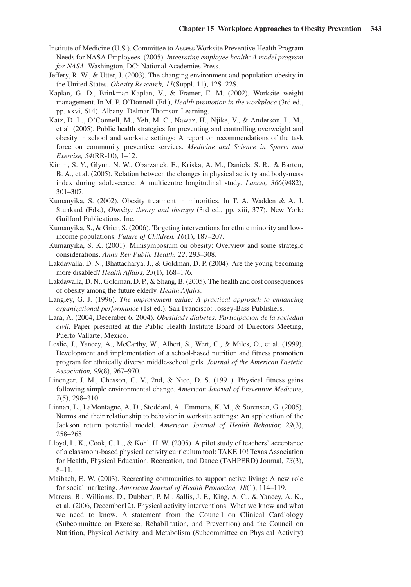- Institute of Medicine (U.S.). Committee to Assess Worksite Preventive Health Program Needs for NASA Employees. (2005). *Integrating employee health: A model program for NASA*. Washington, DC: National Academies Press.
- Jeffery, R. W., & Utter, J. (2003). The changing environment and population obesity in the United States. *Obesity Research, 11*(Suppl. 11), 12S–22S.
- Kaplan, G. D., Brinkman-Kaplan, V., & Framer, E. M. (2002). Worksite weight management. In M. P. O'Donnell (Ed.), *Health promotion in the workplace* (3rd ed., pp. xxvi, 614). Albany: Delmar Thomson Learning.
- Katz, D. L., O'Connell, M., Yeh, M. C., Nawaz, H., Njike, V., & Anderson, L. M., et al. (2005). Public health strategies for preventing and controlling overweight and obesity in school and worksite settings: A report on recommendations of the task force on community preventive services. *Medicine and Science in Sports and Exercise, 54*(RR-10), 1–12.
- Kimm, S. Y., Glynn, N. W., Obarzanek, E., Kriska, A. M., Daniels, S. R., & Barton, B. A., et al. (2005). Relation between the changes in physical activity and body-mass index during adolescence: A multicentre longitudinal study. *Lancet, 366*(9482), 301–307.
- Kumanyika, S. (2002). Obesity treatment in minorities. In T. A. Wadden & A. J. Stunkard (Eds.), *Obesity: theory and therapy* (3rd ed., pp. xiii, 377). New York: Guilford Publications, Inc.
- Kumanyika, S., & Grier, S. (2006). Targeting interventions for ethnic minority and lowincome populations. *Future of Children, 16*(1), 187–207.
- Kumanyika, S. K. (2001). Minisymposium on obesity: Overview and some strategic considerations. *Annu Rev Public Health, 22*, 293–308.
- Lakdawalla, D. N., Bhattacharya, J., & Goldman, D. P. (2004). Are the young becoming more disabled? *Health Affairs, 23*(1), 168–176.
- Lakdawalla, D. N., Goldman, D. P., & Shang, B. (2005). The health and cost consequences of obesity among the future elderly. *Health Affairs*.
- Langley, G. J. (1996). *The improvement guide: A practical approach to enhancing organizational performance* (1st ed.). San Francisco: Jossey-Bass Publishers.
- Lara, A. (2004, December 6, 2004). *Obesidady diabetes: Participacion de la sociedad civil.* Paper presented at the Public Health Institute Board of Directors Meeting, Puerto Vallarte, Mexico.
- Leslie, J., Yancey, A., McCarthy, W., Albert, S., Wert, C., & Miles, O., et al. (1999). Development and implementation of a school-based nutrition and fitness promotion program for ethnically diverse middle-school girls. *Journal of the American Dietetic Association, 99*(8), 967–970.
- Linenger, J. M., Chesson, C. V., 2nd, & Nice, D. S. (1991). Physical fitness gains following simple environmental change. *American Journal of Preventive Medicine, 7*(5), 298–310.
- Linnan, L., LaMontagne, A. D., Stoddard, A., Emmons, K. M., & Sorensen, G. (2005). Norms and their relationship to behavior in worksite settings: An application of the Jackson return potential model. *American Journal of Health Behavior, 29*(3), 258–268.
- Lloyd, L. K., Cook, C. L., & Kohl, H. W. (2005). A pilot study of teachers' acceptance of a classroom-based physical activity curriculum tool: TAKE 10! Texas Association for Health, Physical Education, Recreation, and Dance (TAHPERD) Journal*, 73*(3), 8–11.
- Maibach, E. W. (2003). Recreating communities to support active living: A new role for social marketing. *American Journal of Health Promotion, 18*(1), 114–119.
- Marcus, B., Williams, D., Dubbert, P. M., Sallis, J. F., King, A. C., & Yancey, A. K., et al. (2006, December12). Physical activity interventions: What we know and what we need to know. A statement from the Council on Clinical Cardiology (Subcommittee on Exercise, Rehabilitation, and Prevention) and the Council on Nutrition, Physical Activity, and Metabolism (Subcommittee on Physical Activity)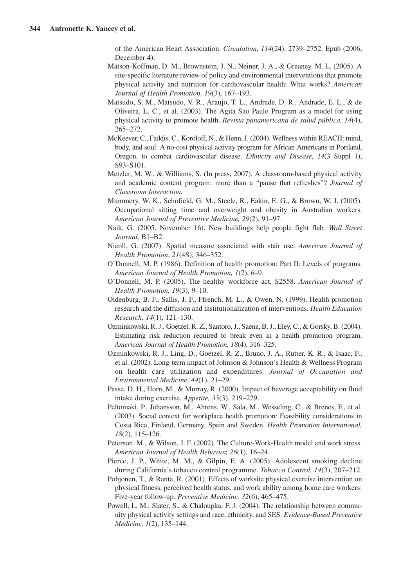of the American Heart Association. *Circulation*, *114*(24), 2739–2752. Epub (2006, December 4).

- Matson-Koffman, D. M., Brownstein, J. N., Neiner, J. A., & Greaney, M. L. (2005). A site-specific literature review of policy and environmental interventions that promote physical activity and nutrition for cardiovascular health: What works? *American Journal of Health Promotion, 19*(3), 167–193.
- Matsudo, S. M., Matsudo, V. R., Araujo, T. L., Andrade, D. R., Andrade, E. L., & de Oliveira, L. C., et al. (2003). The Agita Sao Paulo Program as a model for using physical activity to promote health. *Revista panamericana de salud pública, 14*(4), 265–272.
- McKeever, C., Faddis, C., Koroloff, N., & Henn, J. (2004). Wellness within REACH: mind, body, and soul: A no-cost physical activity program for African Americans in Portland, Oregon, to combat cardiovascular disease. *Ethnicity and Disease, 14*(3 Suppl 1), S93–S101.
- Metzler, M. W., & Williams, S. (In press, 2007). A classroom-based physical activity and academic content program: more than a "pause that refreshes"? *Journal of Classroom Interaction.*
- Mummery, W. K., Schofield, G. M., Steele, R., Eakin, E. G., & Brown, W. J. (2005). Occupational sitting time and overweight and obesity in Australian workers. *American Journal of Preventive Medicine, 29*(2), 91–97.
- Naik, G. (2005, November 16). New buildings help people fight flab*. Wall Street Journal,* B1–B2.
- Nicoll, G. (2007). Spatial measure associated with stair use. *American Journal of Health Promotion*, *21*(4S), 346–352.
- O'Donnell, M. P. (1986). Definition of health promotion: Part II: Levels of programs. *American Journal of Health Promotion, 1*(2), 6–9.
- O'Donnell, M. P. (2005). The healthy workforce act, S2558. *American Journal of Health Promotion, 19*(3), 9–10.
- Oldenburg, B. F., Sallis, J. F., Ffrench, M. L., & Owen, N. (1999). Health promotion research and the diffusion and institutionalization of interventions. *Health Education Research, 14*(1), 121–130.
- Ozminkowski, R. J., Goetzel, R. Z., Santoro, J., Saenz, B. J., Eley, C., & Gorsky, B. (2004). Estimating risk reduction required to break even in a health promotion program. *American Journal of Health Promotion, 18*(4), 316–325.
- Ozminkowski, R. J., Ling, D., Goetzel, R. Z., Bruno, J. A., Rutter, K. R., & Isaac, F., et al. (2002). Long-term impact of Johnson & Johnson's Health & Wellness Program on health care utilization and expenditures. *Journal of Occupation and Environmental Medicine, 44*(1), 21–29.
- Passe, D. H., Horn, M., & Murray, R. (2000). Impact of beverage acceptability on fluid intake during exercise. *Appetite, 35*(3), 219–229.
- Peltomaki, P., Johansson, M., Ahrens, W., Sala, M., Wesseling, C., & Brenes, F., et al. (2003). Social context for workplace health promotion: Feasibility considerations in Costa Rica, Finland, Germany, Spain and Sweden. *Health Promotion International, 18*(2), 115–126.
- Peterson, M., & Wilson, J. F. (2002). The Culture-Work-Health model and work stress. *American Journal of Health Behavior, 26*(1), 16–24.
- Pierce, J. P., White, M. M., & Gilpin, E. A. (2005). Adolescent smoking decline during California's tobacco control programme. *Tobacco Control, 14*(3), 207–212.
- Pohjonen, T., & Ranta, R. (2001). Effects of worksite physical exercise intervention on physical fitness, perceived health status, and work ability among home care workers: Five-year follow-up. *Preventive Medicine, 32*(6), 465–475.
- Powell, L. M., Slater, S., & Chaloupka, F. J. (2004). The relationship between community physical activity settings and race, ethnicity, and SES. *Evidence-Based Preventive Medicine, 1*(2), 135–144.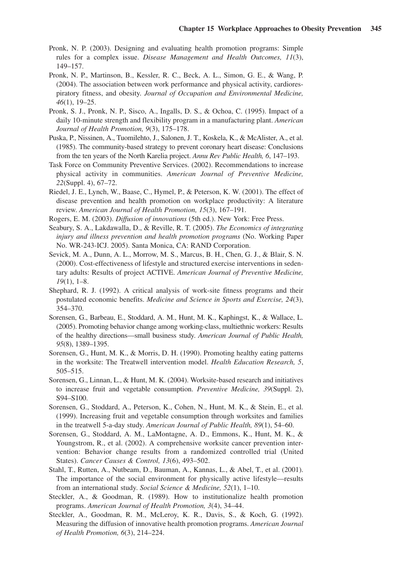- Pronk, N. P. (2003). Designing and evaluating health promotion programs: Simple rules for a complex issue. *Disease Management and Health Outcomes, 11*(3), 149–157.
- Pronk, N. P., Martinson, B., Kessler, R. C., Beck, A. L., Simon, G. E., & Wang, P. (2004). The association between work performance and physical activity, cardiorespiratory fitness, and obesity. *Journal of Occupation and Environmental Medicine, 46*(1), 19–25.
- Pronk, S. J., Pronk, N. P., Sisco, A., Ingalls, D. S., & Ochoa, C. (1995). Impact of a daily 10-minute strength and flexibility program in a manufacturing plant. *American Journal of Health Promotion, 9*(3), 175–178.
- Puska, P., Nissinen, A., Tuomilehto, J., Salonen, J. T., Koskela, K., & McAlister, A., et al. (1985). The community-based strategy to prevent coronary heart disease: Conclusions from the ten years of the North Karelia project. *Annu Rev Public Health, 6*, 147–193.
- Task Force on Community Preventive Services. (2002). Recommendations to increase physical activity in communities. *American Journal of Preventive Medicine, 22*(Suppl. 4), 67–72.
- Riedel, J. E., Lynch, W., Baase, C., Hymel, P., & Peterson, K. W. (2001). The effect of disease prevention and health promotion on workplace productivity: A literature review. *American Journal of Health Promotion, 15*(3), 167–191.
- Rogers, E. M. (2003). *Diffusion of innovations* (5th ed.). New York: Free Press.
- Seabury, S. A., Lakdawalla, D., & Reville, R. T. (2005). *The Economics of integrating injury and illness prevention and health promotion programs* (No. Working Paper No. WR-243-ICJ. 2005). Santa Monica, CA: RAND Corporation.
- Sevick, M. A., Dunn, A. L., Morrow, M. S., Marcus, B. H., Chen, G. J., & Blair, S. N. (2000). Cost-effectiveness of lifestyle and structured exercise interventions in sedentary adults: Results of project ACTIVE. *American Journal of Preventive Medicine, 19*(1), 1–8.
- Shephard, R. J. (1992). A critical analysis of work-site fitness programs and their postulated economic benefits. *Medicine and Science in Sports and Exercise, 24*(3), 354–370.
- Sorensen, G., Barbeau, E., Stoddard, A. M., Hunt, M. K., Kaphingst, K., & Wallace, L. (2005). Promoting behavior change among working-class, multiethnic workers: Results of the healthy directions—small business study. *American Journal of Public Health, 95*(8), 1389–1395.
- Sorensen, G., Hunt, M. K., & Morris, D. H. (1990). Promoting healthy eating patterns in the worksite: The Treatwell intervention model. *Health Education Research, 5*, 505–515.
- Sorensen, G., Linnan, L., & Hunt, M. K. (2004). Worksite-based research and initiatives to increase fruit and vegetable consumption. *Preventive Medicine, 39*(Suppl. 2), S94–S100.
- Sorensen, G., Stoddard, A., Peterson, K., Cohen, N., Hunt, M. K., & Stein, E., et al. (1999). Increasing fruit and vegetable consumption through worksites and families in the treatwell 5-a-day study. *American Journal of Public Health, 89*(1), 54–60.
- Sorensen, G., Stoddard, A. M., LaMontagne, A. D., Emmons, K., Hunt, M. K., & Youngstrom, R., et al. (2002). A comprehensive worksite cancer prevention intervention: Behavior change results from a randomized controlled trial (United States). *Cancer Causes & Control, 13*(6), 493–502.
- Stahl, T., Rutten, A., Nutbeam, D., Bauman, A., Kannas, L., & Abel, T., et al. (2001). The importance of the social environment for physically active lifestyle—results from an international study. *Social Science & Medicine, 52*(1), 1–10.
- Steckler, A., & Goodman, R. (1989). How to institutionalize health promotion programs. *American Journal of Health Promotion, 3*(4), 34–44.
- Steckler, A., Goodman, R. M., McLeroy, K. R., Davis, S., & Koch, G. (1992). Measuring the diffusion of innovative health promotion programs. *American Journal of Health Promotion, 6*(3), 214–224.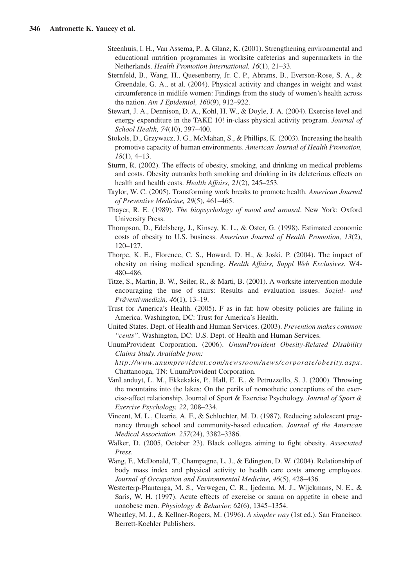- Steenhuis, I. H., Van Assema, P., & Glanz, K. (2001). Strengthening environmental and educational nutrition programmes in worksite cafeterias and supermarkets in the Netherlands. *Health Promotion International, 16*(1), 21–33.
- Sternfeld, B., Wang, H., Quesenberry, Jr. C. P., Abrams, B., Everson-Rose, S. A., & Greendale, G. A., et al. (2004). Physical activity and changes in weight and waist circumference in midlife women: Findings from the study of women's health across the nation. *Am J Epidemiol, 160*(9), 912–922.
- Stewart, J. A., Dennison, D. A., Kohl, H. W., & Doyle, J. A. (2004). Exercise level and energy expenditure in the TAKE 10! in-class physical activity program. *Journal of School Health, 74*(10), 397–400.
- Stokols, D., Grzywacz, J. G., McMahan, S., & Phillips, K. (2003). Increasing the health promotive capacity of human environments. *American Journal of Health Promotion, 18*(1), 4–13.
- Sturm, R. (2002). The effects of obesity, smoking, and drinking on medical problems and costs. Obesity outranks both smoking and drinking in its deleterious effects on health and health costs. *Health Affairs, 21*(2), 245–253.
- Taylor, W. C. (2005). Transforming work breaks to promote health. *American Journal of Preventive Medicine, 29*(5), 461–465.
- Thayer, R. E. (1989). *The biopsychology of mood and arousal*. New York: Oxford University Press.
- Thompson, D., Edelsberg, J., Kinsey, K. L., & Oster, G. (1998). Estimated economic costs of obesity to U.S. business. *American Journal of Health Promotion, 13*(2), 120–127.
- Thorpe, K. E., Florence, C. S., Howard, D. H., & Joski, P. (2004). The impact of obesity on rising medical spending. *Health Affairs, Suppl Web Exclusives*, W4- 480–486.
- Titze, S., Martin, B. W., Seiler, R., & Marti, B. (2001). A worksite intervention module encouraging the use of stairs: Results and evaluation issues. *Sozial- und Präventivmedizin, 46*(1), 13–19.
- Trust for America's Health. (2005). F as in fat: how obesity policies are failing in America. Washington, DC: Trust for America's Health.
- United States. Dept. of Health and Human Services. (2003). *Prevention makes common "cents"*. Washington, DC: U.S. Dept. of Health and Human Services.
- UnumProvident Corporation. (2006). *UnumProvident Obesity-Related Disability Claims Study. Available from:*

*http://www.unumprovident.com/newsroom/news/corporate/obesity.aspx*. Chattanooga, TN: UnumProvident Corporation.

- VanLanduyt, L. M., Ekkekakis, P., Hall, E. E., & Petruzzello, S. J. (2000). Throwing the mountains into the lakes: On the perils of nomothetic conceptions of the exercise-affect relationship. Journal of Sport & Exercise Psychology. *Journal of Sport & Exercise Psychology, 22*, 208–234.
- Vincent, M. L., Clearie, A. F., & Schluchter, M. D. (1987). Reducing adolescent pregnancy through school and community-based education. *Journal of the American Medical Association, 257*(24), 3382–3386.
- Walker, D. (2005, October 23). Black colleges aiming to fight obesity. *Associated Press*.
- Wang, F., McDonald, T., Champagne, L. J., & Edington, D. W. (2004). Relationship of body mass index and physical activity to health care costs among employees. *Journal of Occupation and Environmental Medicine, 46*(5), 428–436.
- Westerterp-Plantenga, M. S., Verwegen, C. R., Ijedema, M. J., Wijckmans, N. E., & Saris, W. H. (1997). Acute effects of exercise or sauna on appetite in obese and nonobese men. *Physiology & Behavior, 62*(6), 1345–1354.
- Wheatley, M. J., & Kellner-Rogers, M. (1996). *A simpler way* (1st ed.). San Francisco: Berrett-Koehler Publishers.